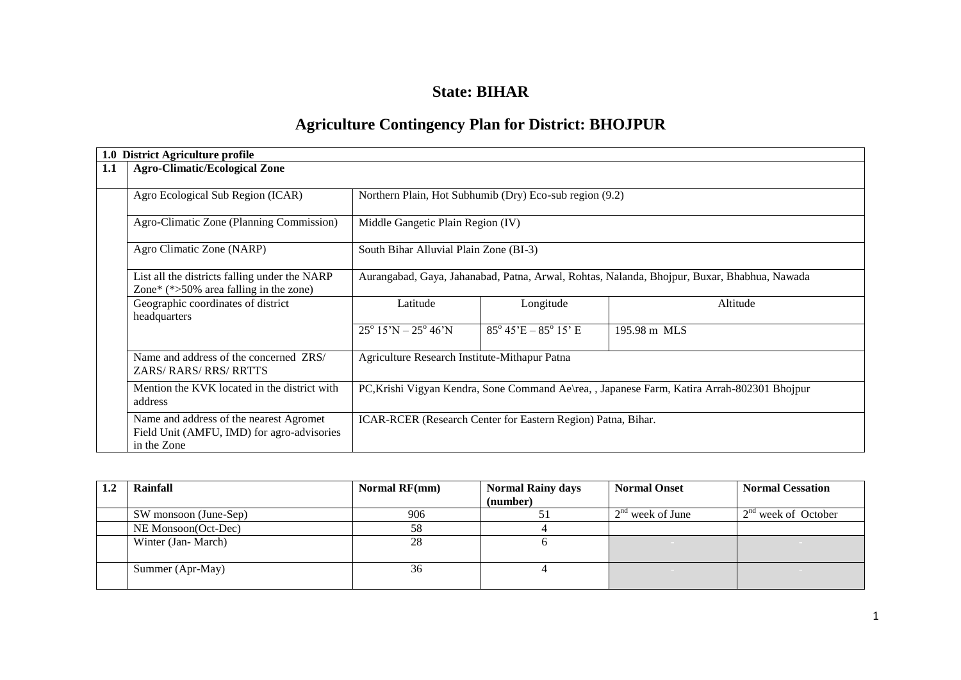# **State: BIHAR**

# **Agriculture Contingency Plan for District: BHOJPUR**

| 1.0 | <b>District Agriculture profile</b>                                                                  |                                                                                             |                                                              |              |  |  |  |
|-----|------------------------------------------------------------------------------------------------------|---------------------------------------------------------------------------------------------|--------------------------------------------------------------|--------------|--|--|--|
| 1.1 | <b>Agro-Climatic/Ecological Zone</b>                                                                 |                                                                                             |                                                              |              |  |  |  |
|     | Agro Ecological Sub Region (ICAR)                                                                    | Northern Plain, Hot Subhumib (Dry) Eco-sub region (9.2)                                     |                                                              |              |  |  |  |
|     | Agro-Climatic Zone (Planning Commission)                                                             |                                                                                             | Middle Gangetic Plain Region (IV)                            |              |  |  |  |
|     | Agro Climatic Zone (NARP)                                                                            | South Bihar Alluvial Plain Zone (BI-3)                                                      |                                                              |              |  |  |  |
|     | List all the districts falling under the NARP<br>Zone* $(*>50\%$ area falling in the zone)           | Aurangabad, Gaya, Jahanabad, Patna, Arwal, Rohtas, Nalanda, Bhojpur, Buxar, Bhabhua, Nawada |                                                              |              |  |  |  |
|     | Geographic coordinates of district<br>headquarters                                                   | Latitude                                                                                    | Longitude                                                    | Altitude     |  |  |  |
|     |                                                                                                      | $25^{\circ}$ 15'N – $25^{\circ}$ 46'N                                                       | $85^{\circ}$ 45'E – $85^{\circ}$ 15' E                       | 195.98 m MLS |  |  |  |
|     | Name and address of the concerned ZRS/<br><b>ZARS/ RARS/ RRS/ RRTTS</b>                              | Agriculture Research Institute-Mithapur Patna                                               |                                                              |              |  |  |  |
|     | Mention the KVK located in the district with<br>address                                              | PC, Krishi Vigyan Kendra, Sone Command Ae\rea, , Japanese Farm, Katira Arrah-802301 Bhojpur |                                                              |              |  |  |  |
|     | Name and address of the nearest Agromet<br>Field Unit (AMFU, IMD) for agro-advisories<br>in the Zone |                                                                                             | ICAR-RCER (Research Center for Eastern Region) Patna, Bihar. |              |  |  |  |

| Rainfall              | <b>Normal RF(mm)</b> | <b>Normal Rainy days</b> | <b>Normal Onset</b>    | <b>Normal Cessation</b> |
|-----------------------|----------------------|--------------------------|------------------------|-------------------------|
|                       |                      | (number)                 |                        |                         |
| SW monsoon (June-Sep) | 906                  |                          | $2nd$ week of June     | $2nd$ week of October   |
| NE Monsoon(Oct-Dec)   | 58                   |                          |                        |                         |
| Winter (Jan-March)    | 28                   |                          |                        |                         |
|                       |                      |                          |                        |                         |
| Summer (Apr-May)      | 36                   |                          | <b>Service Control</b> |                         |
|                       |                      |                          |                        |                         |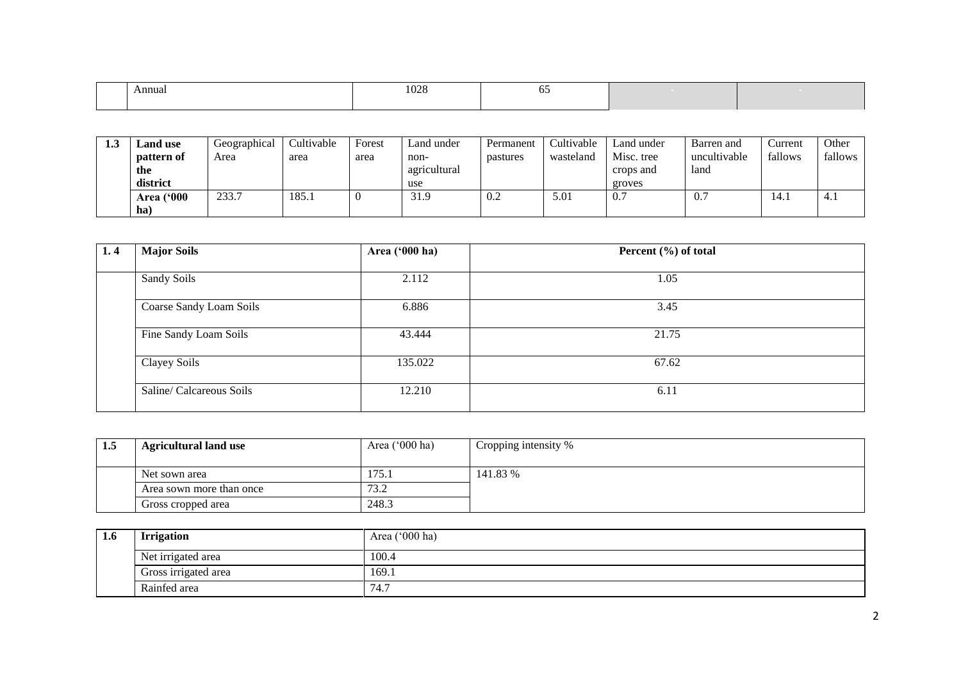| Annual | 0.00<br>£<br>. UZ 6<br>$  -$ |  |  |
|--------|------------------------------|--|--|
|        |                              |  |  |

| 1.3 | and use.          | Geographical | Cultivable | Forest | ∟and under   | Permanent | Cultivable | Land under     | Barren and   | Current | Other   |
|-----|-------------------|--------------|------------|--------|--------------|-----------|------------|----------------|--------------|---------|---------|
|     | pattern of        | Area         | area       | area   | non-         | pastures  | wasteland  | Misc. tree     | uncultivable | fallows | fallows |
|     | the               |              |            |        | agricultural |           |            | crops and      | land         |         |         |
|     | district          |              |            |        | use          |           |            | groves         |              |         |         |
|     | <b>Area</b> ('000 | 233.7        | 185.1      |        | 31.9         | V.Z       | 5.01       | $\mathbf{U}$ . | v.           | 14.     | 4.1     |
|     | ha                |              |            |        |              |           |            |                |              |         |         |

| 1, 4 | <b>Major Soils</b>       | Area ('000 ha) | Percent $(\% )$ of total |
|------|--------------------------|----------------|--------------------------|
|      |                          |                |                          |
|      | Sandy Soils              | 2.112          | 1.05                     |
|      |                          |                |                          |
|      | Coarse Sandy Loam Soils  | 6.886          | 3.45                     |
|      |                          |                |                          |
|      | Fine Sandy Loam Soils    | 43.444         | 21.75                    |
|      |                          |                |                          |
|      | Clayey Soils             | 135.022        | 67.62                    |
|      |                          |                |                          |
|      | Saline/ Calcareous Soils | 12.210         | 6.11                     |
|      |                          |                |                          |

| 1.5 | <b>Agricultural land use</b> | Area $(000 \text{ ha})$ | Cropping intensity % |
|-----|------------------------------|-------------------------|----------------------|
|     |                              |                         |                      |
|     | Net sown area                | 175.1                   | 141.83 %             |
|     | Area sown more than once     | 73.2                    |                      |
|     | Gross cropped area           | 248.3                   |                      |

| 1.0 | <b>Irrigation</b>    | Area ('000 ha) |
|-----|----------------------|----------------|
|     | Net irrigated area   | 100.4          |
|     | Gross irrigated area | 169.1          |
|     | Rainfed area         | 74.7           |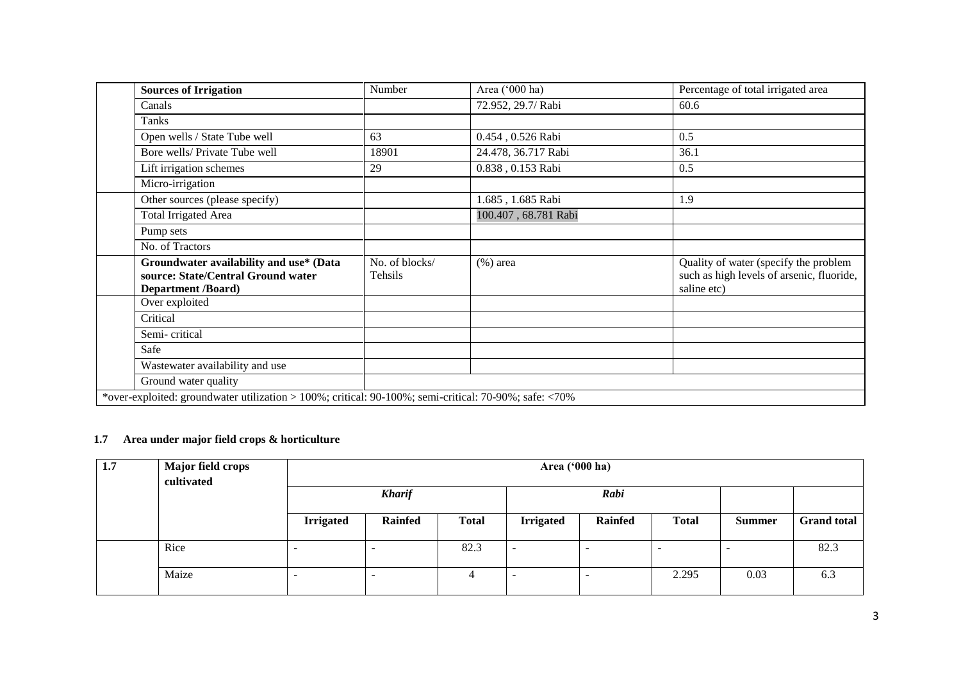| <b>Sources of Irrigation</b>                                                                          | Number         | Area ('000 ha)       | Percentage of total irrigated area        |
|-------------------------------------------------------------------------------------------------------|----------------|----------------------|-------------------------------------------|
| Canals                                                                                                |                | 72.952, 29.7/ Rabi   | 60.6                                      |
| Tanks                                                                                                 |                |                      |                                           |
| Open wells / State Tube well                                                                          | 63             | 0.454, 0.526 Rabi    | 0.5                                       |
| Bore wells/ Private Tube well                                                                         | 18901          | 24.478, 36.717 Rabi  | 36.1                                      |
| Lift irrigation schemes                                                                               | 29             | 0.838, 0.153 Rabi    | 0.5                                       |
| Micro-irrigation                                                                                      |                |                      |                                           |
| Other sources (please specify)                                                                        |                | 1.685, 1.685 Rabi    | 1.9                                       |
| <b>Total Irrigated Area</b>                                                                           |                | 100.407, 68.781 Rabi |                                           |
| Pump sets                                                                                             |                |                      |                                           |
| No. of Tractors                                                                                       |                |                      |                                           |
| Groundwater availability and use* (Data                                                               | No. of blocks/ | $(\% )$ area         | Quality of water (specify the problem     |
| source: State/Central Ground water                                                                    | Tehsils        |                      | such as high levels of arsenic, fluoride, |
| <b>Department /Board)</b>                                                                             |                |                      | saline etc)                               |
| Over exploited                                                                                        |                |                      |                                           |
| Critical                                                                                              |                |                      |                                           |
| Semi-critical                                                                                         |                |                      |                                           |
| Safe                                                                                                  |                |                      |                                           |
| Wastewater availability and use                                                                       |                |                      |                                           |
| Ground water quality                                                                                  |                |                      |                                           |
| *over-exploited: groundwater utilization > 100%; critical: 90-100%; semi-critical: 70-90%; safe: <70% |                |                      |                                           |

## **1.7 Area under major field crops & horticulture**

| 1.7 | <b>Major field crops</b><br>cultivated | Area ('000 ha)           |                          |                |                          |                |              |               |                    |
|-----|----------------------------------------|--------------------------|--------------------------|----------------|--------------------------|----------------|--------------|---------------|--------------------|
|     |                                        |                          | <b>Kharif</b><br>Rabi    |                |                          |                |              |               |                    |
|     |                                        | <b>Irrigated</b>         | <b>Rainfed</b>           | <b>Total</b>   | <b>Irrigated</b>         | <b>Rainfed</b> | <b>Total</b> | <b>Summer</b> | <b>Grand total</b> |
|     | Rice                                   | -                        |                          | 82.3           |                          |                |              |               | 82.3               |
|     | Maize                                  | $\overline{\phantom{a}}$ | $\overline{\phantom{a}}$ | $\overline{4}$ | $\overline{\phantom{a}}$ |                | 2.295        | 0.03          | 6.3                |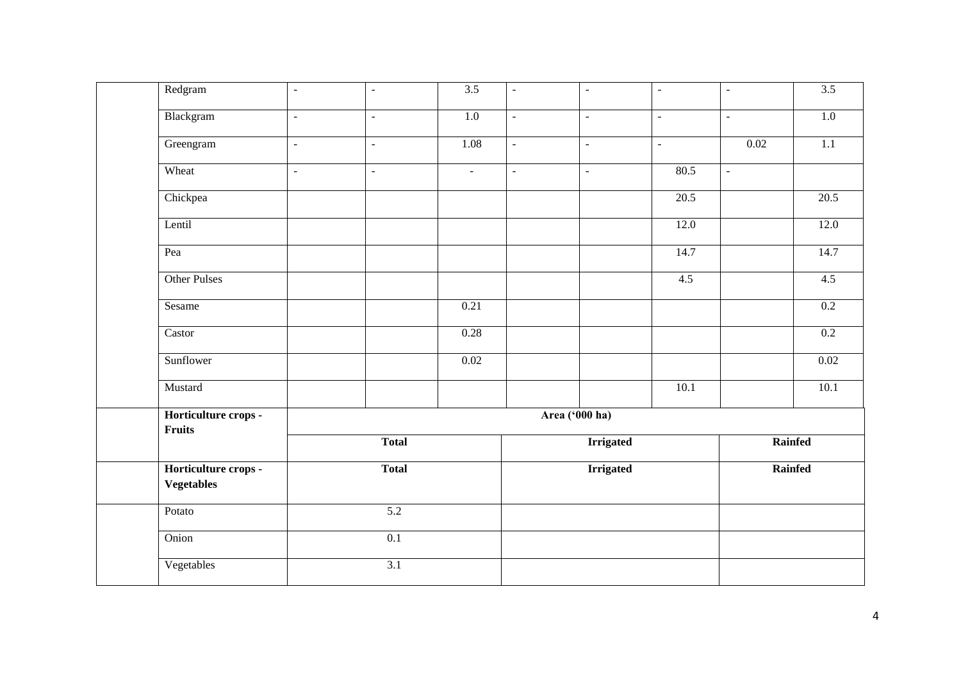| Redgram                                   |                             |                          | 3.5    |                             |                             |                   |                     | 3.5     |
|-------------------------------------------|-----------------------------|--------------------------|--------|-----------------------------|-----------------------------|-------------------|---------------------|---------|
|                                           | $\mathcal{L}_{\mathcal{A}}$ | $\blacksquare$           |        | $\omega$                    | $\mathcal{L}_{\mathcal{A}}$ | $\omega$          | $\blacksquare$      |         |
| Blackgram                                 | $\omega$                    | $\equiv$                 | 1.0    | $\omega$                    | $\mathbf{u}$                | $\omega$          | $\bar{\mathcal{L}}$ | $1.0\,$ |
| Greengram                                 | $\omega$                    | $\overline{\phantom{a}}$ | 1.08   | $\mathcal{L}_{\mathcal{A}}$ | $\omega$                    | $\omega$          | 0.02                | 1.1     |
| Wheat                                     | $\omega$                    | $\overline{\phantom{a}}$ | $\sim$ | $\omega$                    | $\sim$                      | 80.5              | $\Box$              |         |
| Chickpea                                  |                             |                          |        |                             |                             | $\overline{20.5}$ |                     | 20.5    |
| Lentil                                    |                             |                          |        |                             |                             | 12.0              |                     | 12.0    |
| Pea                                       |                             |                          |        |                             |                             | 14.7              |                     | 14.7    |
| Other Pulses                              |                             |                          |        |                             |                             | 4.5               |                     | 4.5     |
| Sesame                                    |                             |                          | 0.21   |                             |                             |                   |                     | 0.2     |
| Castor                                    |                             |                          | 0.28   |                             |                             |                   |                     | 0.2     |
| Sunflower                                 |                             |                          | 0.02   |                             |                             |                   |                     | 0.02    |
| Mustard                                   |                             |                          |        |                             |                             | 10.1              |                     | 10.1    |
| Horticulture crops -<br>Fruits            |                             |                          |        |                             | Area ('000 ha)              |                   |                     |         |
|                                           |                             | <b>Total</b>             |        |                             | <b>Irrigated</b>            |                   | Rainfed             |         |
| Horticulture crops -<br><b>Vegetables</b> |                             | <b>Total</b>             |        |                             | <b>Irrigated</b>            |                   | Rainfed             |         |
| Potato                                    |                             | $\overline{5.2}$         |        |                             |                             |                   |                     |         |
| Onion                                     |                             | 0.1                      |        |                             |                             |                   |                     |         |
| Vegetables                                |                             | 3.1                      |        |                             |                             |                   |                     |         |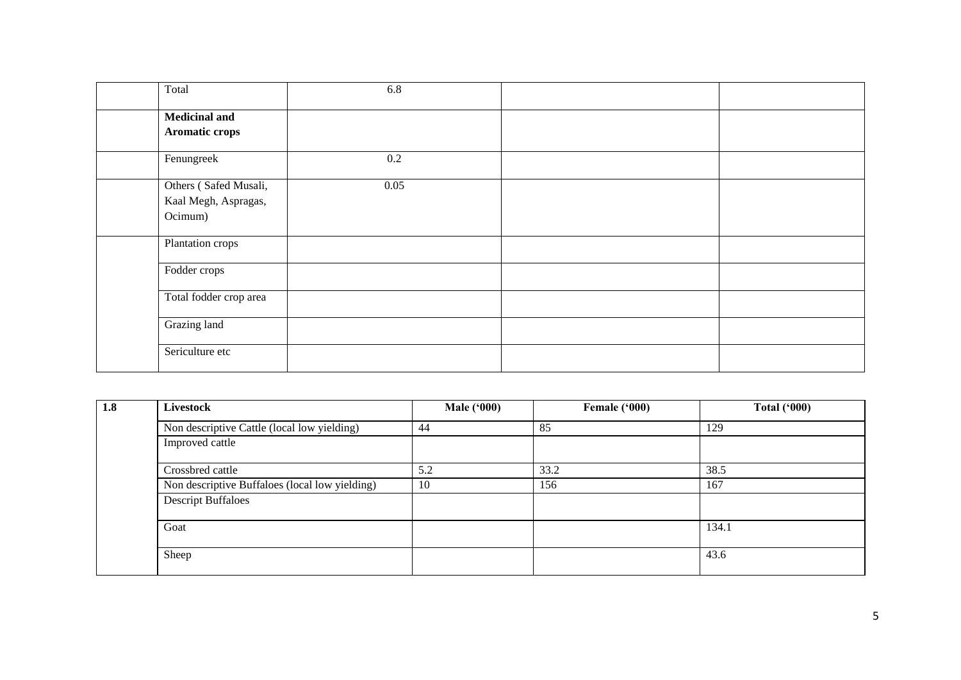| Total                                                    | 6.8     |  |
|----------------------------------------------------------|---------|--|
| <b>Medicinal and</b><br>Aromatic crops                   |         |  |
| Fenungreek                                               | $0.2\,$ |  |
| Others (Safed Musali,<br>Kaal Megh, Aspragas,<br>Ocimum) | 0.05    |  |
| Plantation crops                                         |         |  |
| Fodder crops                                             |         |  |
| Total fodder crop area                                   |         |  |
| Grazing land                                             |         |  |
| Sericulture etc                                          |         |  |

| 1.8 | Livestock                                      | <b>Male ('000)</b> | Female ('000) | <b>Total ('000)</b> |
|-----|------------------------------------------------|--------------------|---------------|---------------------|
|     | Non descriptive Cattle (local low yielding)    | 44                 | 85            | 129                 |
|     | Improved cattle                                |                    |               |                     |
|     | Crossbred cattle                               | 5.2                | 33.2          | 38.5                |
|     | Non descriptive Buffaloes (local low yielding) | 10                 | 156           | 167                 |
|     | <b>Descript Buffaloes</b>                      |                    |               |                     |
|     | Goat                                           |                    |               | 134.1               |
|     | Sheep                                          |                    |               | 43.6                |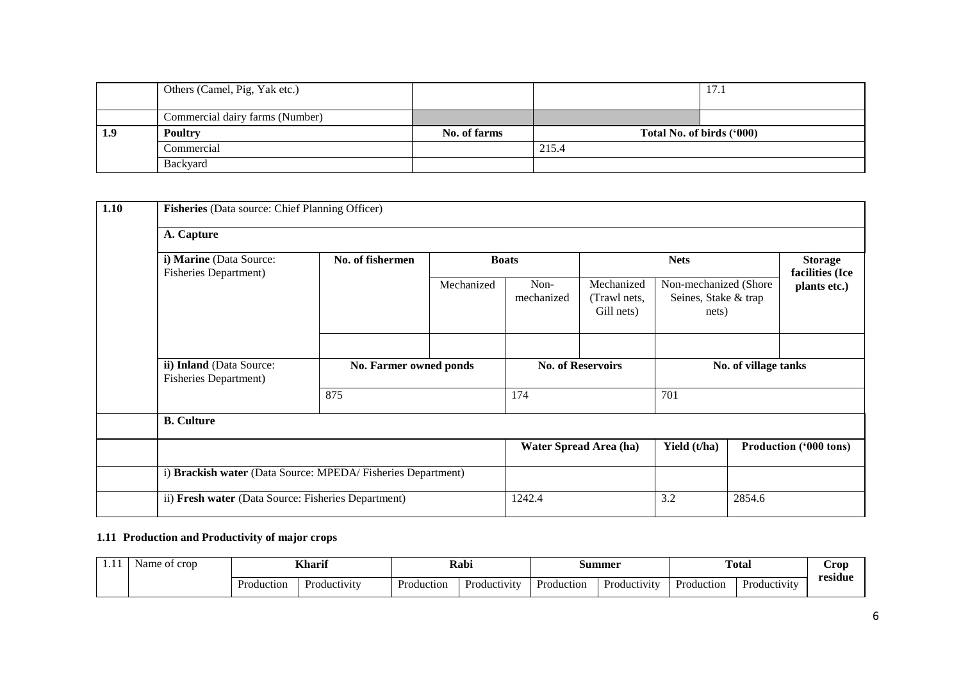|     | Others (Camel, Pig, Yak etc.)   |              |                           | 17.1 |
|-----|---------------------------------|--------------|---------------------------|------|
|     |                                 |              |                           |      |
|     | Commercial dairy farms (Number) |              |                           |      |
| 1.9 | <b>Poultry</b>                  | No. of farms | Total No. of birds ('000) |      |
|     | Commercial                      |              | 215.4                     |      |
|     | <b>Backyard</b>                 |              |                           |      |

| 1.10 |                                                          | <b>Fisheries</b> (Data source: Chief Planning Officer)      |              |                          |                                          |                                                        |  |                                   |  |  |
|------|----------------------------------------------------------|-------------------------------------------------------------|--------------|--------------------------|------------------------------------------|--------------------------------------------------------|--|-----------------------------------|--|--|
|      | A. Capture                                               |                                                             |              |                          |                                          |                                                        |  |                                   |  |  |
|      | i) Marine (Data Source:<br><b>Fisheries Department)</b>  | No. of fishermen                                            | <b>Boats</b> |                          | <b>Nets</b>                              |                                                        |  | <b>Storage</b><br>facilities (Ice |  |  |
|      |                                                          |                                                             | Mechanized   | Non-<br>mechanized       | Mechanized<br>(Trawl nets,<br>Gill nets) | Non-mechanized (Shore<br>Seines, Stake & trap<br>nets) |  | plants etc.)                      |  |  |
|      | ii) Inland (Data Source:<br><b>Fisheries Department)</b> | No. Farmer owned ponds                                      |              | <b>No. of Reservoirs</b> |                                          | No. of village tanks                                   |  |                                   |  |  |
|      |                                                          | 875                                                         |              | 174                      |                                          | 701                                                    |  |                                   |  |  |
|      | <b>B.</b> Culture                                        |                                                             |              |                          |                                          |                                                        |  |                                   |  |  |
|      |                                                          |                                                             |              |                          | <b>Water Spread Area (ha)</b>            | Yield (t/ha)                                           |  | <b>Production ('000 tons)</b>     |  |  |
|      |                                                          | i) Brackish water (Data Source: MPEDA/Fisheries Department) |              |                          |                                          |                                                        |  |                                   |  |  |
|      | ii) Fresh water (Data Source: Fisheries Department)      |                                                             | 1242.4       |                          | 3.2                                      | 2854.6                                                 |  |                                   |  |  |

### **1.11 Production and Productivity of major crops**

| . | of crop<br>Name |            | <b>Kharit</b>       |            | Rabi<br>Summer |            |                     | <b>Total</b><br>. |                     | $\cup$ rop |
|---|-----------------|------------|---------------------|------------|----------------|------------|---------------------|-------------------|---------------------|------------|
|   |                 | Production | <b>Productivity</b> | Production | Productivity   | Production | <b>Productivity</b> | Production        | <b>Productivity</b> | residue    |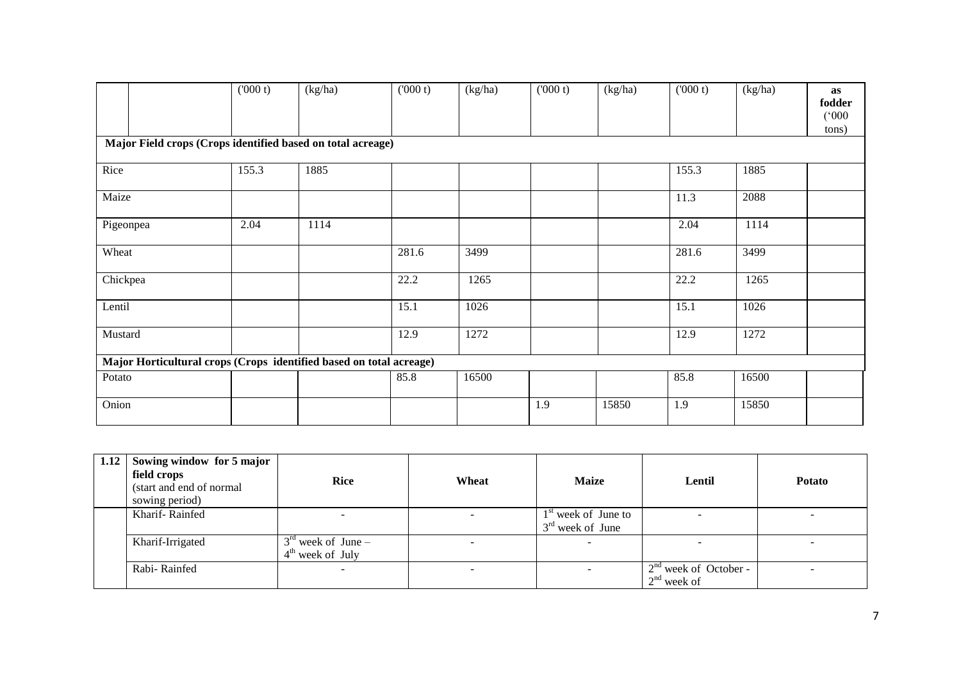|                                                                     | (000 t) | (kg/ha) | (000 t) | (kg/ha) | (000 t) | (kg/ha) | (000 t) | (kg/ha) | as<br>fodder<br>(000)<br>tons) |
|---------------------------------------------------------------------|---------|---------|---------|---------|---------|---------|---------|---------|--------------------------------|
| Major Field crops (Crops identified based on total acreage)         |         |         |         |         |         |         |         |         |                                |
| Rice                                                                | 155.3   | 1885    |         |         |         |         | 155.3   | 1885    |                                |
| Maize                                                               |         |         |         |         |         |         | 11.3    | 2088    |                                |
| Pigeonpea                                                           | 2.04    | 1114    |         |         |         |         | 2.04    | 1114    |                                |
| Wheat                                                               |         |         | 281.6   | 3499    |         |         | 281.6   | 3499    |                                |
| Chickpea                                                            |         |         | 22.2    | 1265    |         |         | 22.2    | 1265    |                                |
| Lentil                                                              |         |         | 15.1    | 1026    |         |         | 15.1    | 1026    |                                |
| Mustard                                                             |         |         | 12.9    | 1272    |         |         | 12.9    | 1272    |                                |
| Major Horticultural crops (Crops identified based on total acreage) |         |         |         |         |         |         |         |         |                                |
| Potato                                                              |         |         | 85.8    | 16500   |         |         | 85.8    | 16500   |                                |
| Onion                                                               |         |         |         |         | 1.9     | 15850   | 1.9     | 15850   |                                |

| 1.12 | Sowing window for 5 major<br>field crops<br>(start and end of normal<br>sowing period) | <b>Rice</b>                                | Wheat | <b>Maize</b>                                | Lentil                                       | <b>Potato</b> |
|------|----------------------------------------------------------------------------------------|--------------------------------------------|-------|---------------------------------------------|----------------------------------------------|---------------|
|      | Kharif-Rainfed                                                                         | -                                          |       | $1st$ week of June to<br>$3rd$ week of June |                                              |               |
|      | Kharif-Irrigated                                                                       | $3rd$ week of June –<br>$4th$ week of July |       |                                             |                                              |               |
|      | Rabi-Rainfed                                                                           |                                            |       |                                             | $2nd$ week of October -<br>$12^{nd}$ week of |               |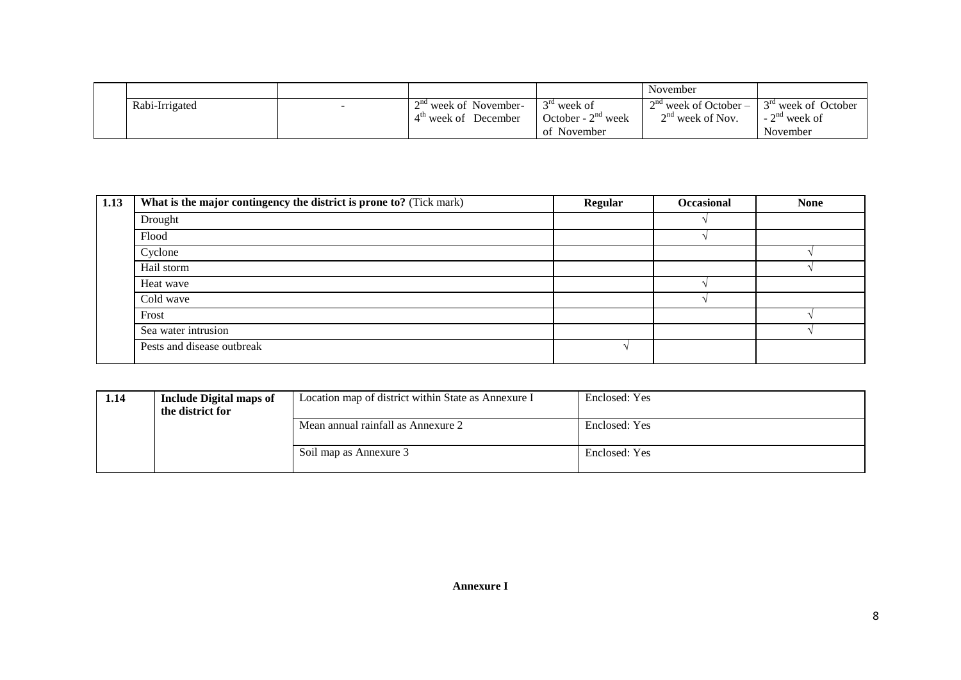|                |                         |                                  | November                |                                  |
|----------------|-------------------------|----------------------------------|-------------------------|----------------------------------|
| Rabi-Irrigated | $2na$ week of November- | $\gamma$ ra<br>week of           | $2nd$ week of October – | 3 <sup>rd</sup> week of October  |
|                | December<br>week of     | $2nd$ week<br>October - $\angle$ | $2nd$ week of Nov.      | $\sim$ nd<br>' week of<br>$\sim$ |
|                |                         | of November                      |                         | November                         |

| 1.13 | What is the major contingency the district is prone to? (Tick mark) | <b>Regular</b> | <b>Occasional</b> | <b>None</b> |
|------|---------------------------------------------------------------------|----------------|-------------------|-------------|
|      | Drought                                                             |                |                   |             |
|      | Flood                                                               |                |                   |             |
|      | Cyclone                                                             |                |                   |             |
|      | Hail storm                                                          |                |                   |             |
|      | Heat wave                                                           |                |                   |             |
|      | Cold wave                                                           |                |                   |             |
|      | Frost                                                               |                |                   |             |
|      | Sea water intrusion                                                 |                |                   |             |
|      | Pests and disease outbreak                                          |                |                   |             |

| 1.14 | <b>Include Digital maps of</b><br>the district for | Location map of district within State as Annexure I | Enclosed: Yes |
|------|----------------------------------------------------|-----------------------------------------------------|---------------|
|      |                                                    | Mean annual rainfall as Annexure 2                  | Enclosed: Yes |
|      |                                                    | Soil map as Annexure 3                              | Enclosed: Yes |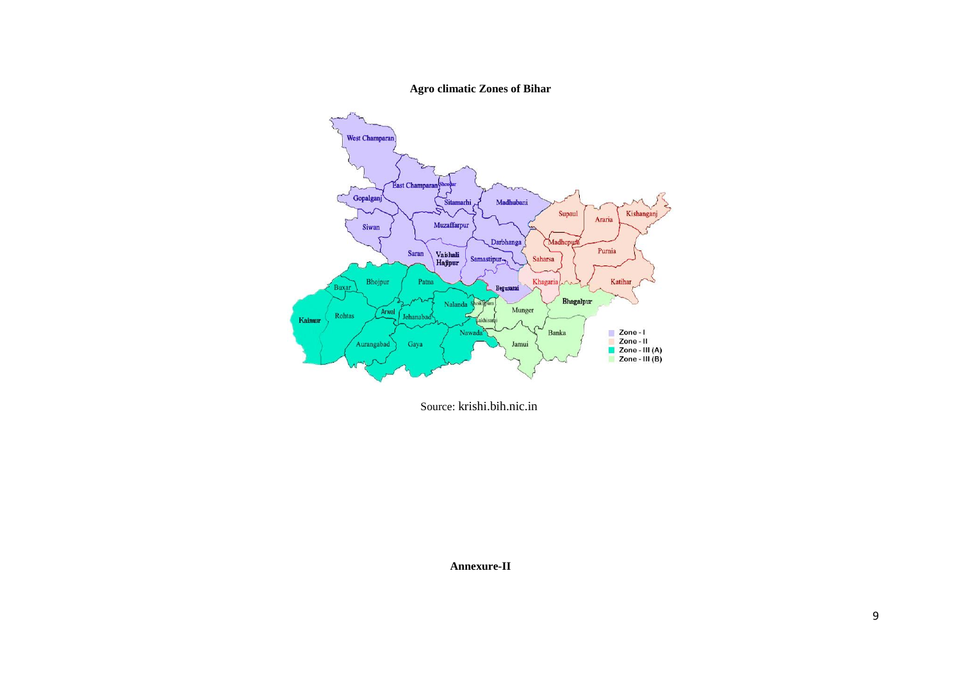#### **Agro climatic Zones of Bihar**



Source: krishi.bih.nic.in

**Annexure-II**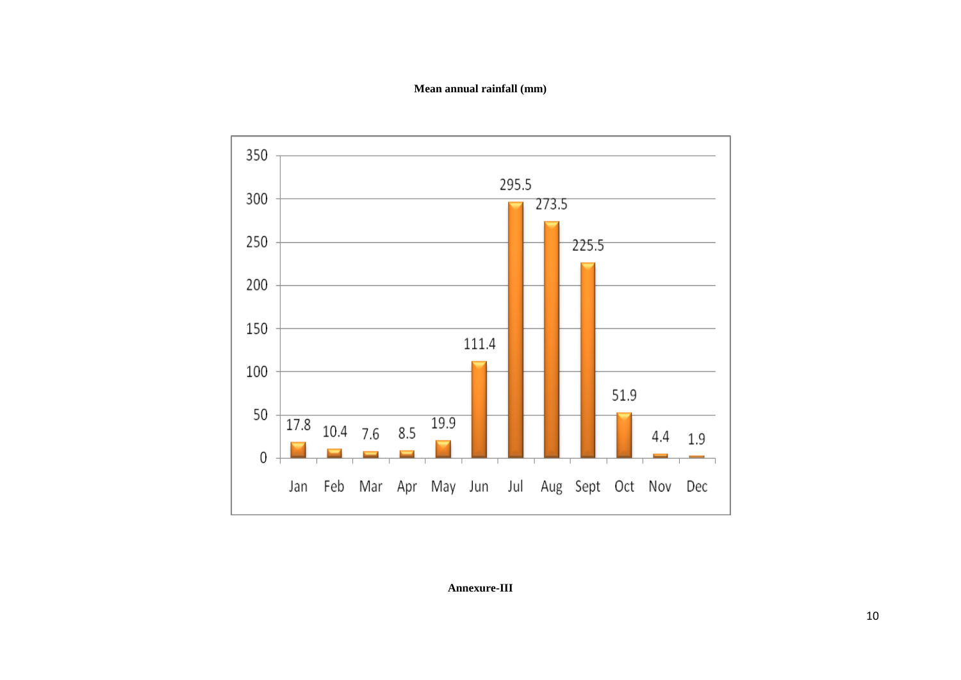#### **Mean annual rainfall (mm)**



**Annexure-III**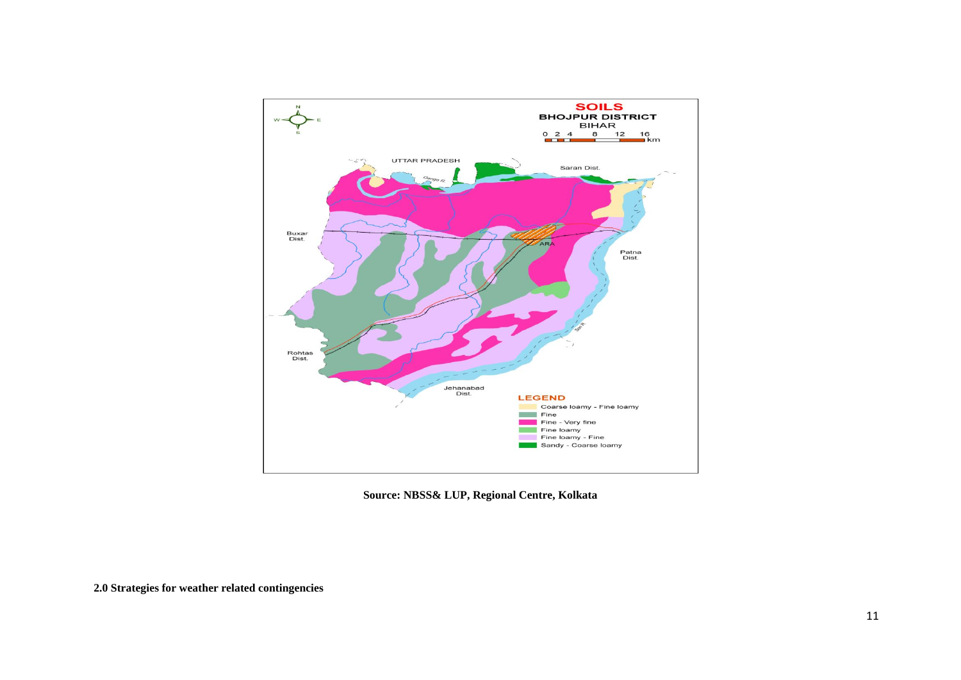

**Source: NBSS& LUP, Regional Centre, Kolkata**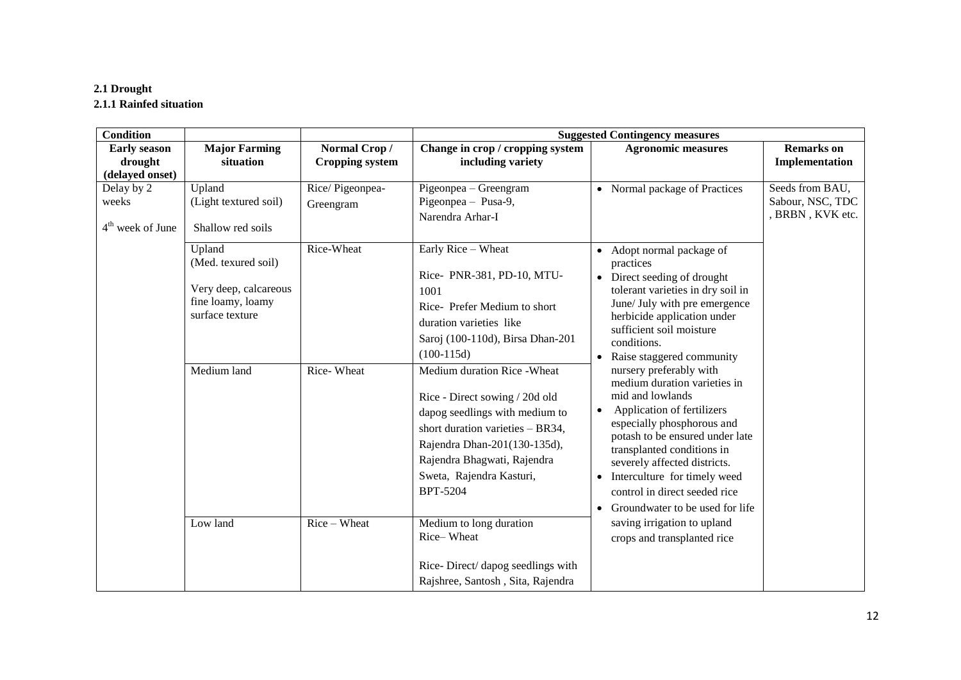### **2.1 Drought 2.1.1 Rainfed situation**

| <b>Condition</b>                                  |                                                                                       |                                            |                                                                                                                                                                                                                                                    | <b>Suggested Contingency measures</b>                                                                                                                                                                                                                                                                                                                         |                                                         |
|---------------------------------------------------|---------------------------------------------------------------------------------------|--------------------------------------------|----------------------------------------------------------------------------------------------------------------------------------------------------------------------------------------------------------------------------------------------------|---------------------------------------------------------------------------------------------------------------------------------------------------------------------------------------------------------------------------------------------------------------------------------------------------------------------------------------------------------------|---------------------------------------------------------|
| <b>Early season</b><br>drought<br>(delayed onset) | <b>Major Farming</b><br>situation                                                     | Normal Crop/<br><b>Cropping system</b>     | Change in crop / cropping system<br>including variety                                                                                                                                                                                              | <b>Agronomic measures</b>                                                                                                                                                                                                                                                                                                                                     | <b>Remarks</b> on<br>Implementation                     |
| Delay by 2<br>weeks<br>$4th$ week of June         | Upland<br>(Light textured soil)<br>Shallow red soils<br>Upland<br>(Med. texured soil) | Rice/Pigeonpea-<br>Greengram<br>Rice-Wheat | Pigeonpea - Greengram<br>Pigeonpea - Pusa-9,<br>Narendra Arhar-I<br>Early Rice - Wheat                                                                                                                                                             | • Normal package of Practices<br>• Adopt normal package of<br>practices                                                                                                                                                                                                                                                                                       | Seeds from BAU,<br>Sabour, NSC, TDC<br>, BRBN, KVK etc. |
|                                                   | Very deep, calcareous<br>fine loamy, loamy<br>surface texture                         |                                            | Rice- PNR-381, PD-10, MTU-<br>1001<br>Rice-Prefer Medium to short<br>duration varieties like<br>Saroj (100-110d), Birsa Dhan-201<br>$(100-115d)$                                                                                                   | Direct seeding of drought<br>$\bullet$<br>tolerant varieties in dry soil in<br>June/ July with pre emergence<br>herbicide application under<br>sufficient soil moisture<br>conditions.<br>• Raise staggered community                                                                                                                                         |                                                         |
|                                                   | Medium land                                                                           | Rice-Wheat                                 | Medium duration Rice - Wheat<br>Rice - Direct sowing / 20d old<br>dapog seedlings with medium to<br>short duration varieties - BR34,<br>Rajendra Dhan-201(130-135d),<br>Rajendra Bhagwati, Rajendra<br>Sweta, Rajendra Kasturi,<br><b>BPT-5204</b> | nursery preferably with<br>medium duration varieties in<br>mid and lowlands<br>Application of fertilizers<br>$\bullet$<br>especially phosphorous and<br>potash to be ensured under late<br>transplanted conditions in<br>severely affected districts.<br>• Interculture for timely weed<br>control in direct seeded rice<br>• Groundwater to be used for life |                                                         |
|                                                   | Low land                                                                              | Rice - Wheat                               | Medium to long duration<br>Rice-Wheat<br>Rice-Direct/ dapog seedlings with<br>Rajshree, Santosh, Sita, Rajendra                                                                                                                                    | saving irrigation to upland<br>crops and transplanted rice                                                                                                                                                                                                                                                                                                    |                                                         |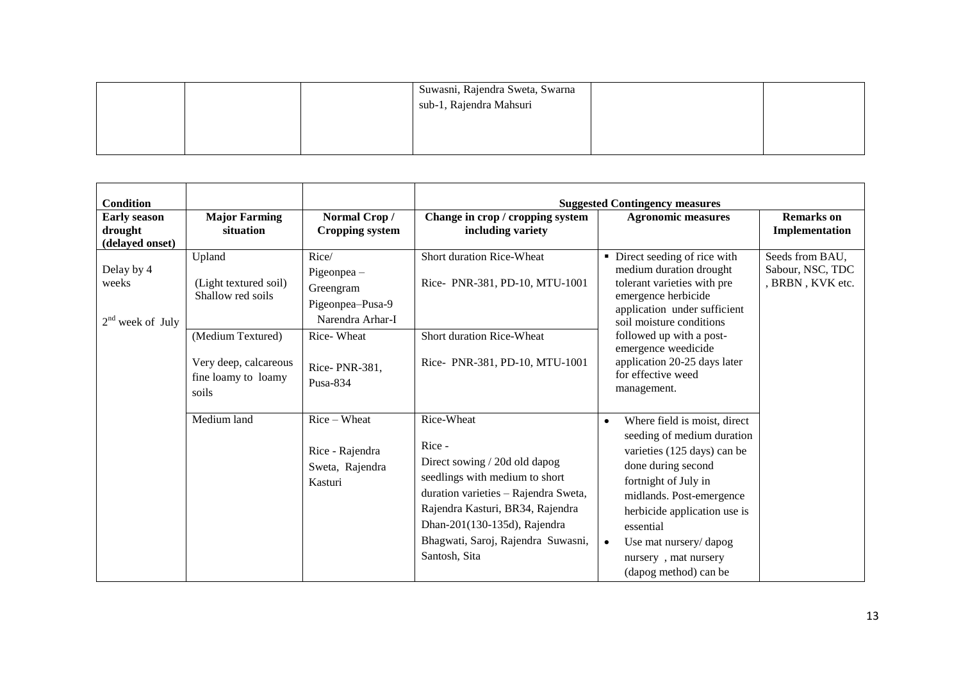|  | Suwasni, Rajendra Sweta, Swarna |  |
|--|---------------------------------|--|
|  | sub-1, Rajendra Mahsuri         |  |
|  |                                 |  |
|  |                                 |  |
|  |                                 |  |

| <b>Condition</b>                                  |                                                                            |                                                                             | <b>Suggested Contingency measures</b>                                                                                                                                                                                                                      |                                                                                                                                                                                                                                                                                                                      |                                                         |  |  |
|---------------------------------------------------|----------------------------------------------------------------------------|-----------------------------------------------------------------------------|------------------------------------------------------------------------------------------------------------------------------------------------------------------------------------------------------------------------------------------------------------|----------------------------------------------------------------------------------------------------------------------------------------------------------------------------------------------------------------------------------------------------------------------------------------------------------------------|---------------------------------------------------------|--|--|
| <b>Early season</b><br>drought<br>(delayed onset) | <b>Major Farming</b><br>situation                                          | Normal Crop/<br><b>Cropping system</b>                                      | Change in crop / cropping system<br>including variety                                                                                                                                                                                                      | <b>Agronomic measures</b>                                                                                                                                                                                                                                                                                            | <b>Remarks</b> on<br>Implementation                     |  |  |
| Delay by 4<br>weeks<br>$2nd$ week of July         | Upland<br>(Light textured soil)<br>Shallow red soils                       | Rice/<br>$Pigeonpea -$<br>Greengram<br>Pigeonpea-Pusa-9<br>Narendra Arhar-I | Short duration Rice-Wheat<br>Rice-PNR-381, PD-10, MTU-1001                                                                                                                                                                                                 | • Direct seeding of rice with<br>medium duration drought<br>tolerant varieties with pre<br>emergence herbicide<br>application under sufficient<br>soil moisture conditions                                                                                                                                           | Seeds from BAU,<br>Sabour, NSC, TDC<br>, BRBN, KVK etc. |  |  |
|                                                   | (Medium Textured)<br>Very deep, calcareous<br>fine loamy to loamy<br>soils | Rice-Wheat<br>Rice-PNR-381,<br>Pusa-834                                     | Short duration Rice-Wheat<br>Rice-PNR-381, PD-10, MTU-1001                                                                                                                                                                                                 | followed up with a post-<br>emergence weedicide<br>application 20-25 days later<br>for effective weed<br>management.                                                                                                                                                                                                 |                                                         |  |  |
|                                                   | Medium land                                                                | $Rice-Wheat$<br>Rice - Rajendra<br>Sweta, Rajendra<br>Kasturi               | Rice-Wheat<br>Rice -<br>Direct sowing / 20d old dapog<br>seedlings with medium to short<br>duration varieties - Rajendra Sweta,<br>Rajendra Kasturi, BR34, Rajendra<br>Dhan-201(130-135d), Rajendra<br>Bhagwati, Saroj, Rajendra Suwasni,<br>Santosh, Sita | Where field is moist, direct<br>$\bullet$<br>seeding of medium duration<br>varieties (125 days) can be<br>done during second<br>fortnight of July in<br>midlands. Post-emergence<br>herbicide application use is<br>essential<br>Use mat nursery/dapog<br>$\bullet$<br>nursery, mat nursery<br>(dapog method) can be |                                                         |  |  |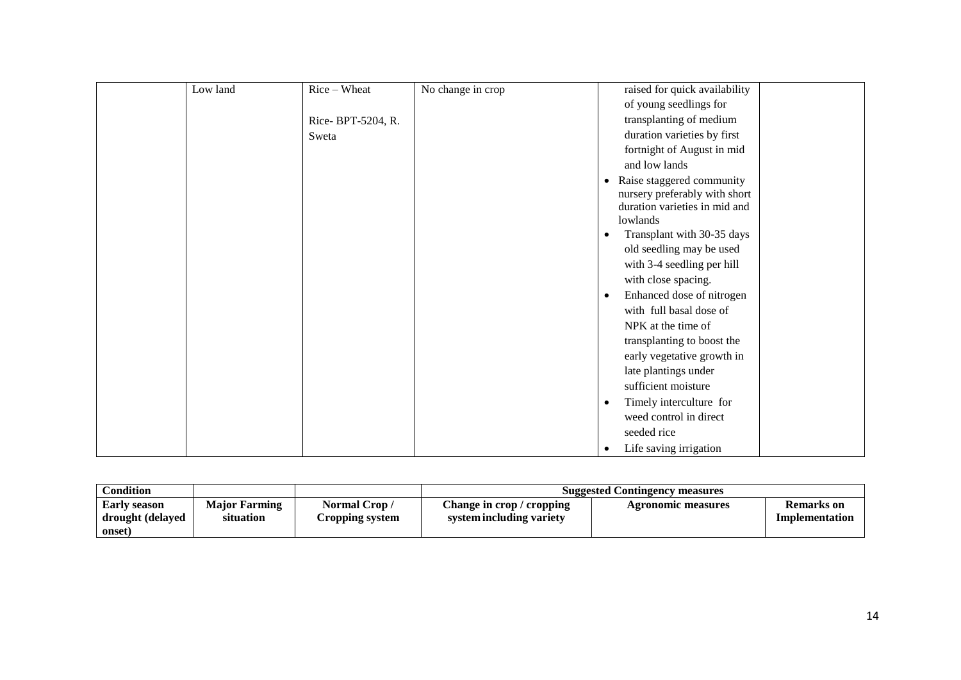| Low land | Rice - Wheat      | No change in crop | raised for quick availability             |
|----------|-------------------|-------------------|-------------------------------------------|
|          |                   |                   | of young seedlings for                    |
|          | Rice-BPT-5204, R. |                   | transplanting of medium                   |
|          | Sweta             |                   | duration varieties by first               |
|          |                   |                   | fortnight of August in mid                |
|          |                   |                   | and low lands                             |
|          |                   |                   | Raise staggered community<br>$\bullet$    |
|          |                   |                   | nursery preferably with short             |
|          |                   |                   | duration varieties in mid and<br>lowlands |
|          |                   |                   | Transplant with 30-35 days<br>$\bullet$   |
|          |                   |                   | old seedling may be used                  |
|          |                   |                   | with 3-4 seedling per hill                |
|          |                   |                   | with close spacing.                       |
|          |                   |                   | Enhanced dose of nitrogen<br>$\bullet$    |
|          |                   |                   | with full basal dose of                   |
|          |                   |                   | NPK at the time of                        |
|          |                   |                   | transplanting to boost the                |
|          |                   |                   | early vegetative growth in                |
|          |                   |                   | late plantings under                      |
|          |                   |                   | sufficient moisture                       |
|          |                   |                   | Timely interculture for<br>$\bullet$      |
|          |                   |                   | weed control in direct                    |
|          |                   |                   | seeded rice                               |
|          |                   |                   | Life saving irrigation<br>$\bullet$       |

| Condition                                         |                                   |                                | <b>Suggested Contingency measures</b>                 |                    |                                     |  |  |
|---------------------------------------------------|-----------------------------------|--------------------------------|-------------------------------------------------------|--------------------|-------------------------------------|--|--|
| <b>Early season</b><br>drought (delayed<br>onset) | <b>Maior Farming</b><br>situation | Normal Crop/<br>ropping system | Change in crop / cropping<br>system including variety | Agronomic measures | <b>Remarks</b> on<br>Implementation |  |  |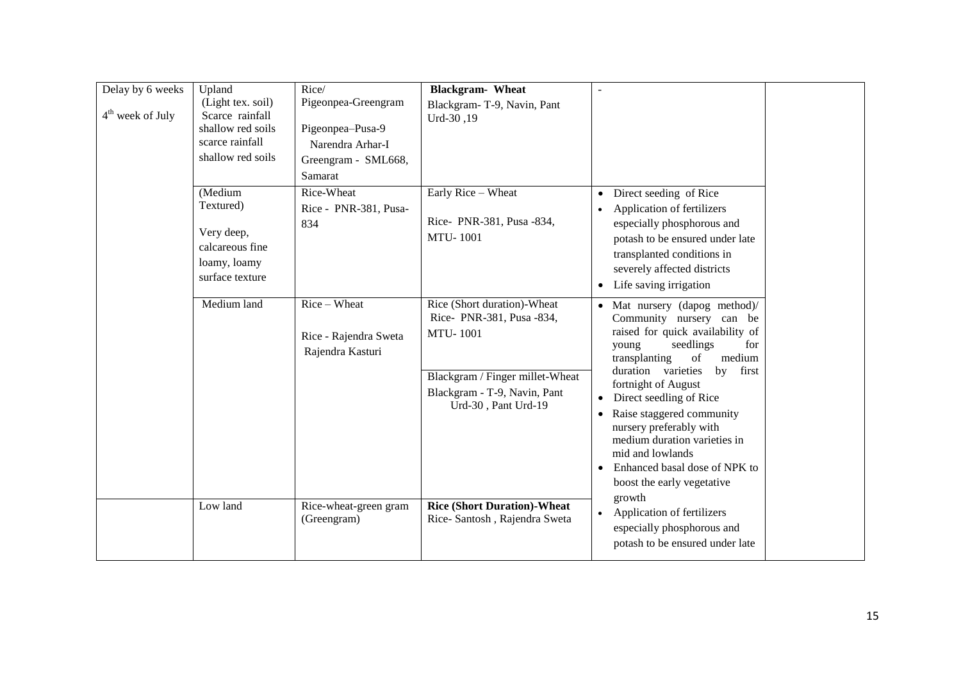| Delay by 6 weeks<br>$4th$ week of July | Upland<br>(Light tex. soil)<br>Scarce rainfall<br>shallow red soils<br>scarce rainfall<br>shallow red soils | Rice/<br>Pigeonpea-Greengram<br>Pigeonpea-Pusa-9<br>Narendra Arhar-I<br>Greengram - SML668,<br>Samarat | <b>Blackgram-</b> Wheat<br>Blackgram-T-9, Navin, Pant<br>Urd-30,19                                                                                                   |                                                                                                                                                                                                                                                                                                                                                                                                                                                      |  |
|----------------------------------------|-------------------------------------------------------------------------------------------------------------|--------------------------------------------------------------------------------------------------------|----------------------------------------------------------------------------------------------------------------------------------------------------------------------|------------------------------------------------------------------------------------------------------------------------------------------------------------------------------------------------------------------------------------------------------------------------------------------------------------------------------------------------------------------------------------------------------------------------------------------------------|--|
|                                        | (Medium<br>Textured)<br>Very deep,<br>calcareous fine<br>loamy, loamy<br>surface texture                    | Rice-Wheat<br>Rice - PNR-381, Pusa-<br>834                                                             | Early Rice - Wheat<br>Rice-PNR-381, Pusa -834,<br><b>MTU-1001</b>                                                                                                    | Direct seeding of Rice<br>$\bullet$<br>Application of fertilizers<br>especially phosphorous and<br>potash to be ensured under late<br>transplanted conditions in<br>severely affected districts<br>Life saving irrigation<br>$\bullet$                                                                                                                                                                                                               |  |
|                                        | Medium land                                                                                                 | Rice - Wheat<br>Rice - Rajendra Sweta<br>Rajendra Kasturi                                              | Rice (Short duration)-Wheat<br>Rice-PNR-381, Pusa -834,<br><b>MTU-1001</b><br>Blackgram / Finger millet-Wheat<br>Blackgram - T-9, Navin, Pant<br>Urd-30, Pant Urd-19 | • Mat nursery (dapog method)/<br>Community nursery can be<br>raised for quick availability of<br>seedlings<br>for<br>young<br>transplanting<br>medium<br>of<br>duration varieties<br>first<br>by<br>fortnight of August<br>Direct seedling of Rice<br>Raise staggered community<br>$\bullet$<br>nursery preferably with<br>medium duration varieties in<br>mid and lowlands<br>Enhanced basal dose of NPK to<br>boost the early vegetative<br>growth |  |
|                                        | Low land                                                                                                    | Rice-wheat-green gram<br>(Greengram)                                                                   | <b>Rice (Short Duration)-Wheat</b><br>Rice-Santosh, Rajendra Sweta                                                                                                   | Application of fertilizers<br>$\bullet$<br>especially phosphorous and<br>potash to be ensured under late                                                                                                                                                                                                                                                                                                                                             |  |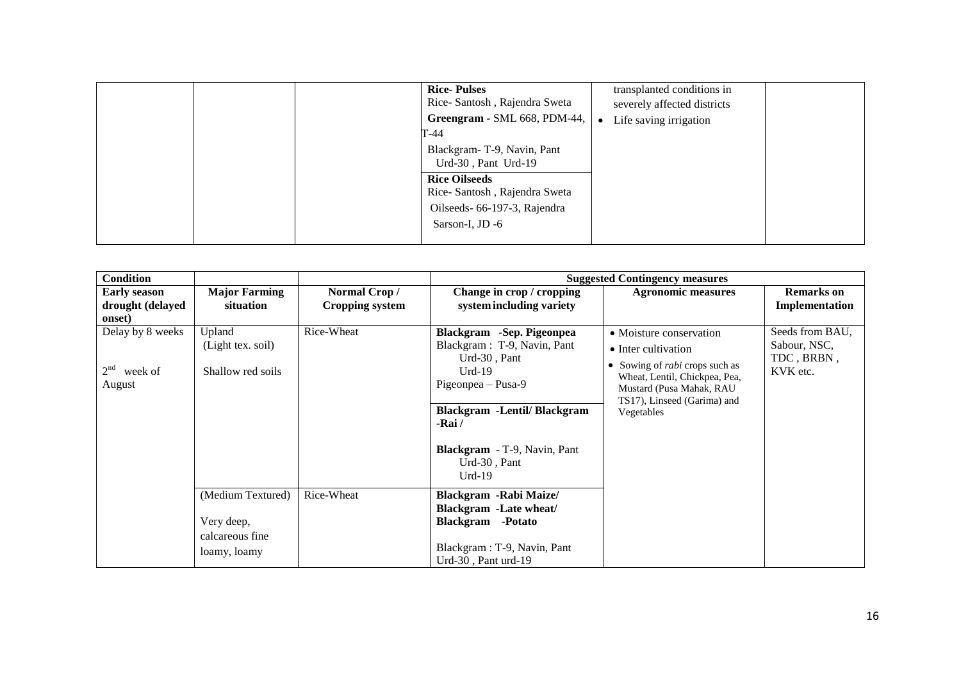|  | <b>Rice-Pulses</b><br>Rice-Santosh, Rajendra Sweta<br>Greengram - SML 668, PDM-44,<br>T-44              | transplanted conditions in<br>severely affected districts<br>Life saving irrigation |  |
|--|---------------------------------------------------------------------------------------------------------|-------------------------------------------------------------------------------------|--|
|  | Blackgram-T-9, Navin, Pant<br>Urd-30, Pant Urd-19                                                       |                                                                                     |  |
|  | <b>Rice Oilseeds</b><br>Rice-Santosh, Rajendra Sweta<br>Oilseeds- 66-197-3, Rajendra<br>Sarson-I, JD -6 |                                                                                     |  |

| <b>Condition</b>                                         |                                                                    |                                        | <b>Suggested Contingency measures</b>                                                                                                                                                                                      |                                                                                                                                                                                                   |                                                           |  |  |
|----------------------------------------------------------|--------------------------------------------------------------------|----------------------------------------|----------------------------------------------------------------------------------------------------------------------------------------------------------------------------------------------------------------------------|---------------------------------------------------------------------------------------------------------------------------------------------------------------------------------------------------|-----------------------------------------------------------|--|--|
| <b>Early season</b><br>drought (delayed<br>onset)        | <b>Major Farming</b><br>situation                                  | Normal Crop/<br><b>Cropping system</b> | Change in crop / cropping<br>system including variety                                                                                                                                                                      | <b>Agronomic measures</b>                                                                                                                                                                         | <b>Remarks</b> on<br>Implementation                       |  |  |
| Delay by 8 weeks<br>2 <sup>nd</sup><br>week of<br>August | Upland<br>(Light tex. soil)<br>Shallow red soils                   | Rice-Wheat                             | Blackgram -Sep. Pigeonpea<br>Blackgram: T-9, Navin, Pant<br>Urd-30, Pant<br>$Urd-19$<br>Pigeonpea - Pusa-9<br><b>Blackgram</b> -Lentil/ Blackgram<br>-Rai /<br>Blackgram - T-9, Navin, Pant<br>$Urd-30$ , Pant<br>$Urd-19$ | • Moisture conservation<br>• Inter cultivation<br>• Sowing of <i>rabi</i> crops such as<br>Wheat, Lentil, Chickpea, Pea,<br>Mustard (Pusa Mahak, RAU<br>TS17), Linseed (Garima) and<br>Vegetables | Seeds from BAU,<br>Sabour, NSC,<br>TDC, BRBN,<br>KVK etc. |  |  |
|                                                          | (Medium Textured)<br>Very deep,<br>calcareous fine<br>loamy, loamy | Rice-Wheat                             | Blackgram - Rabi Maize/<br><b>Blackgram</b> - Late wheat/<br><b>Blackgram</b> -Potato<br>Blackgram: T-9, Navin, Pant<br>Urd-30, Pant urd-19                                                                                |                                                                                                                                                                                                   |                                                           |  |  |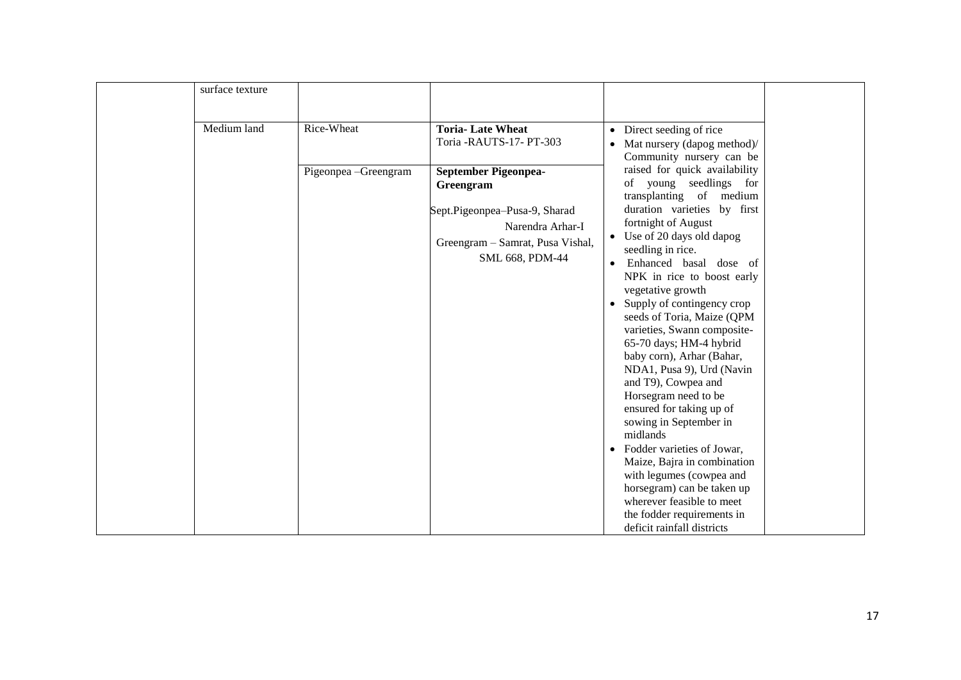| Medium land<br>Rice-Wheat<br><b>Toria-Late Wheat</b><br>• Direct seeding of rice<br>Toria -RAUTS-17- PT-303<br>• Mat nursery (dapog method)/<br>Community nursery can be<br>raised for quick availability<br>Pigeonpea - Greengram<br>September Pigeonpea-<br>of young seedlings for<br>Greengram<br>transplanting of medium<br>duration varieties by first<br>Sept.Pigeonpea-Pusa-9, Sharad<br>fortnight of August<br>Narendra Arhar-I<br>• Use of 20 days old dapog<br>Greengram - Samrat, Pusa Vishal,<br>seedling in rice.<br>SML 668, PDM-44<br>Enhanced basal dose of<br>$\bullet$<br>NPK in rice to boost early<br>vegetative growth<br>Supply of contingency crop<br>seeds of Toria, Maize (QPM<br>varieties, Swann composite-<br>65-70 days; HM-4 hybrid<br>baby corn), Arhar (Bahar,<br>NDA1, Pusa 9), Urd (Navin<br>and T9), Cowpea and<br>Horsegram need to be<br>ensured for taking up of<br>sowing in September in<br>midlands<br>Fodder varieties of Jowar,<br>$\bullet$ |
|-----------------------------------------------------------------------------------------------------------------------------------------------------------------------------------------------------------------------------------------------------------------------------------------------------------------------------------------------------------------------------------------------------------------------------------------------------------------------------------------------------------------------------------------------------------------------------------------------------------------------------------------------------------------------------------------------------------------------------------------------------------------------------------------------------------------------------------------------------------------------------------------------------------------------------------------------------------------------------------------|
|                                                                                                                                                                                                                                                                                                                                                                                                                                                                                                                                                                                                                                                                                                                                                                                                                                                                                                                                                                                         |
|                                                                                                                                                                                                                                                                                                                                                                                                                                                                                                                                                                                                                                                                                                                                                                                                                                                                                                                                                                                         |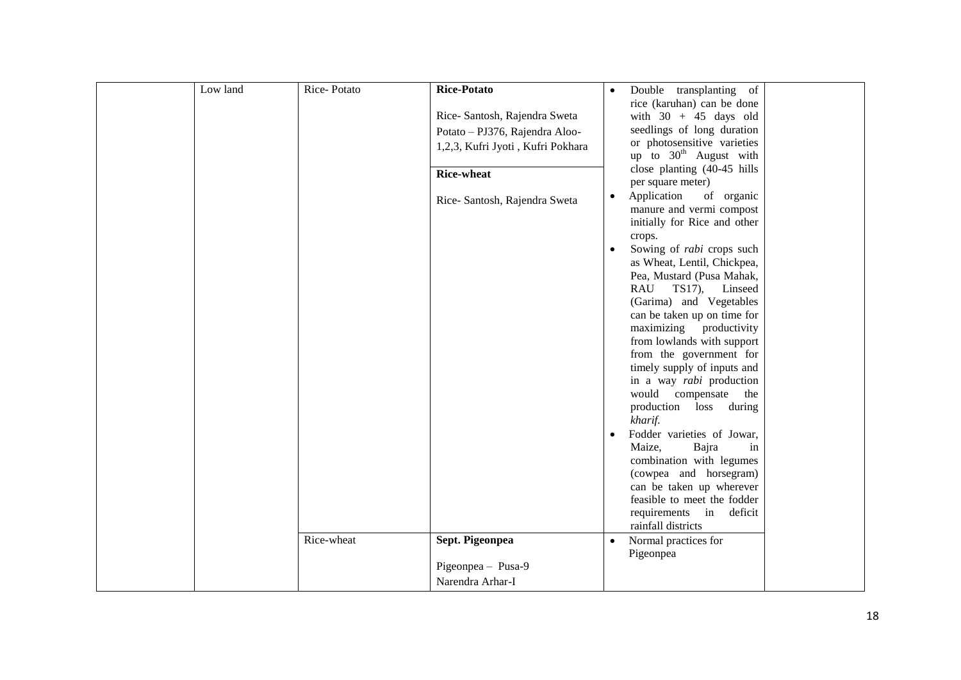| Low land | Rice-Potato | Rice-Potato                       |           |                                                         |  |
|----------|-------------|-----------------------------------|-----------|---------------------------------------------------------|--|
|          |             |                                   | $\bullet$ | Double transplanting of<br>rice (karuhan) can be done   |  |
|          |             | Rice- Santosh, Rajendra Sweta     |           | with $30 + 45$ days old                                 |  |
|          |             |                                   |           | seedlings of long duration                              |  |
|          |             | Potato - PJ376, Rajendra Aloo-    |           | or photosensitive varieties                             |  |
|          |             | 1,2,3, Kufri Jyoti, Kufri Pokhara |           | up to $30th$ August with                                |  |
|          |             |                                   |           | close planting (40-45 hills                             |  |
|          |             | <b>Rice-wheat</b>                 |           | per square meter)                                       |  |
|          |             | Rice-Santosh, Rajendra Sweta      | $\bullet$ | Application<br>of organic                               |  |
|          |             |                                   |           | manure and vermi compost                                |  |
|          |             |                                   |           | initially for Rice and other                            |  |
|          |             |                                   |           | crops.                                                  |  |
|          |             |                                   | $\bullet$ | Sowing of rabi crops such                               |  |
|          |             |                                   |           | as Wheat, Lentil, Chickpea,                             |  |
|          |             |                                   |           | Pea, Mustard (Pusa Mahak,                               |  |
|          |             |                                   |           | TS17),<br>RAU<br>Linseed                                |  |
|          |             |                                   |           | (Garima) and Vegetables                                 |  |
|          |             |                                   |           | can be taken up on time for                             |  |
|          |             |                                   |           | maximizing productivity                                 |  |
|          |             |                                   |           | from lowlands with support                              |  |
|          |             |                                   |           | from the government for                                 |  |
|          |             |                                   |           | timely supply of inputs and<br>in a way rabi production |  |
|          |             |                                   |           | would compensate<br>the                                 |  |
|          |             |                                   |           | production loss during                                  |  |
|          |             |                                   |           | kharif.                                                 |  |
|          |             |                                   | $\bullet$ | Fodder varieties of Jowar,                              |  |
|          |             |                                   |           | Maize,<br>Bajra<br>in                                   |  |
|          |             |                                   |           | combination with legumes                                |  |
|          |             |                                   |           | (cowpea and horsegram)                                  |  |
|          |             |                                   |           | can be taken up wherever                                |  |
|          |             |                                   |           | feasible to meet the fodder                             |  |
|          |             |                                   |           | requirements<br>in deficit                              |  |
|          |             |                                   |           | rainfall districts                                      |  |
|          | Rice-wheat  | Sept. Pigeonpea                   | $\bullet$ | Normal practices for                                    |  |
|          |             |                                   |           | Pigeonpea                                               |  |
|          |             | Pigeonpea - Pusa-9                |           |                                                         |  |
|          |             | Narendra Arhar-I                  |           |                                                         |  |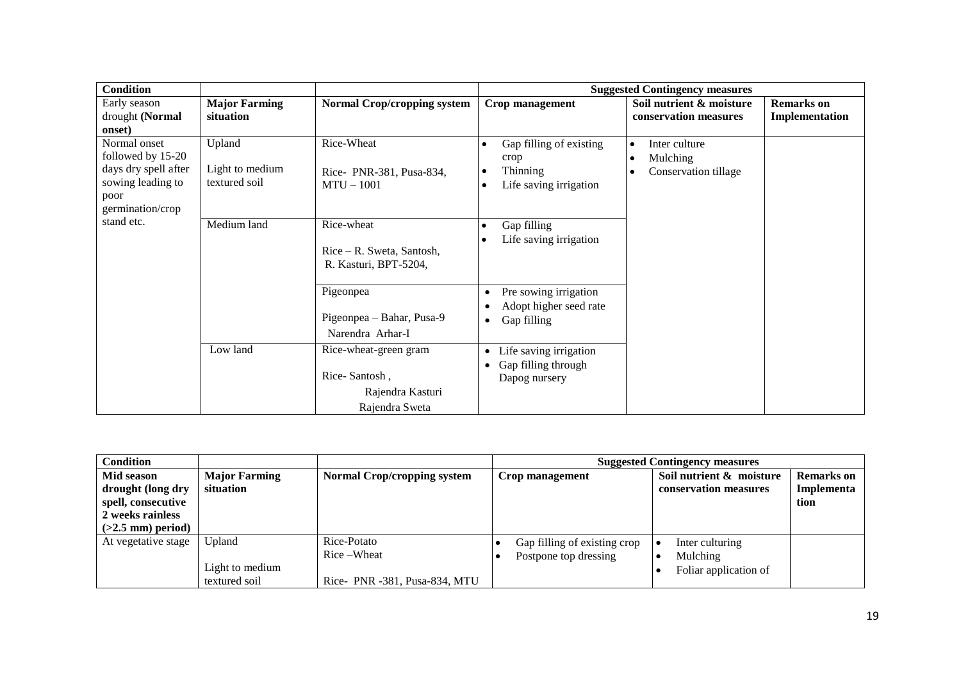| <b>Condition</b>         |                      |                                    | <b>Suggested Contingency measures</b> |                            |                   |  |
|--------------------------|----------------------|------------------------------------|---------------------------------------|----------------------------|-------------------|--|
| Early season             | <b>Major Farming</b> | <b>Normal Crop/cropping system</b> | Crop management                       | Soil nutrient & moisture   | <b>Remarks</b> on |  |
| drought (Normal          | situation            |                                    |                                       | conservation measures      | Implementation    |  |
| onset)                   |                      |                                    |                                       |                            |                   |  |
| Normal onset             | Upland               | Rice-Wheat                         | Gap filling of existing               | Inter culture<br>$\bullet$ |                   |  |
| followed by 15-20        |                      |                                    | crop                                  | Mulching                   |                   |  |
| days dry spell after     | Light to medium      | Rice-PNR-381, Pusa-834,            | <b>Thinning</b>                       | Conservation tillage       |                   |  |
| sowing leading to        | textured soil        | $MTU - 1001$                       | Life saving irrigation                |                            |                   |  |
| poor<br>germination/crop |                      |                                    |                                       |                            |                   |  |
| stand etc.               |                      |                                    |                                       |                            |                   |  |
|                          | Medium land          | Rice-wheat                         | Gap filling<br>$\bullet$              |                            |                   |  |
|                          |                      | $Rice - R$ . Sweta, Santosh,       | Life saving irrigation                |                            |                   |  |
|                          |                      | R. Kasturi, BPT-5204,              |                                       |                            |                   |  |
|                          |                      |                                    |                                       |                            |                   |  |
|                          |                      | Pigeonpea                          | Pre sowing irrigation<br>$\bullet$    |                            |                   |  |
|                          |                      |                                    | Adopt higher seed rate                |                            |                   |  |
|                          |                      | Pigeonpea – Bahar, Pusa-9          | Gap filling<br>$\bullet$              |                            |                   |  |
|                          |                      | Narendra Arhar-I                   |                                       |                            |                   |  |
|                          | Low land             | Rice-wheat-green gram              | Life saving irrigation<br>$\bullet$   |                            |                   |  |
|                          |                      |                                    | Gap filling through<br>$\bullet$      |                            |                   |  |
|                          |                      | Rice-Santosh,                      | Dapog nursery                         |                            |                   |  |
|                          |                      | Rajendra Kasturi                   |                                       |                            |                   |  |
|                          |                      | Rajendra Sweta                     |                                       |                            |                   |  |

| <b>Condition</b>    |                      |                                    |                              | <b>Suggested Contingency measures</b> |                   |
|---------------------|----------------------|------------------------------------|------------------------------|---------------------------------------|-------------------|
| Mid season          | <b>Major Farming</b> | <b>Normal Crop/cropping system</b> | Crop management              | Soil nutrient & moisture              | <b>Remarks</b> on |
| drought (long dry   | situation            |                                    |                              | conservation measures                 | Implementa        |
| spell, consecutive  |                      |                                    |                              |                                       | tion              |
| 2 weeks rainless    |                      |                                    |                              |                                       |                   |
| $(>2.5$ mm) period) |                      |                                    |                              |                                       |                   |
| At vegetative stage | Upland               | Rice-Potato                        | Gap filling of existing crop | Inter culturing                       |                   |
|                     |                      | Rice-Wheat                         | Postpone top dressing        | Mulching                              |                   |
|                     | Light to medium      |                                    |                              | Foliar application of                 |                   |
|                     | textured soil        | Rice- PNR -381, Pusa-834, MTU      |                              |                                       |                   |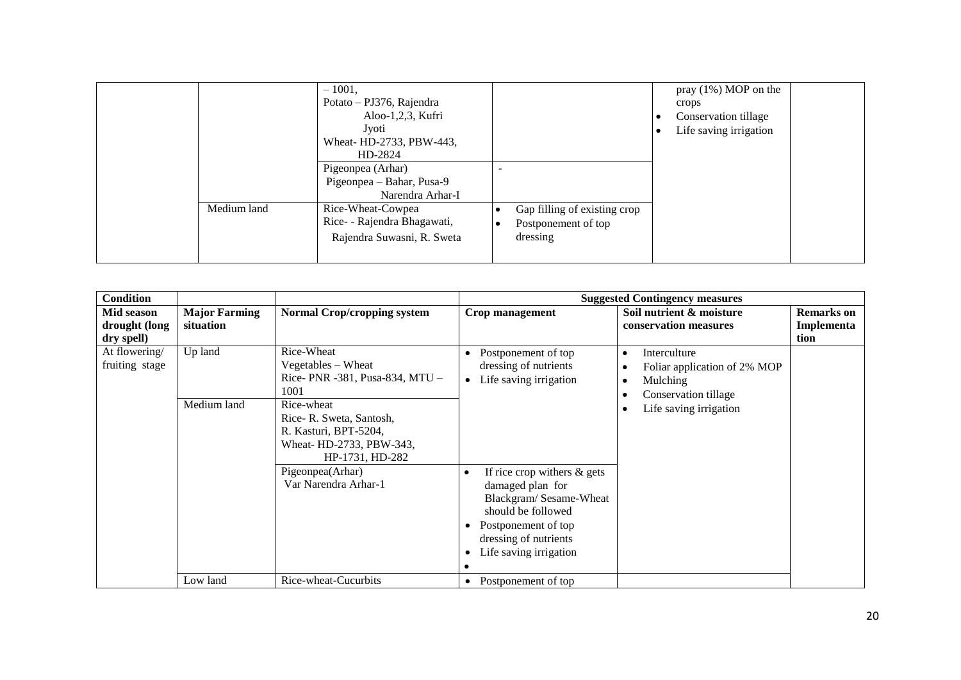|             | 1001,<br>$\overline{\phantom{0}}$<br>Potato – PJ376, Rajendra<br>Aloo-1,2,3, Kufri<br>Jyoti<br>Wheat-HD-2733, PBW-443,<br>HD-2824 |                                                                 | pray $(1\%)$ MOP on the<br>crops<br>Conservation tillage<br>Life saving irrigation |  |
|-------------|-----------------------------------------------------------------------------------------------------------------------------------|-----------------------------------------------------------------|------------------------------------------------------------------------------------|--|
|             | Pigeonpea (Arhar)<br>Pigeonpea – Bahar, Pusa-9<br>Narendra Arhar-I                                                                |                                                                 |                                                                                    |  |
| Medium land | Rice-Wheat-Cowpea<br>Rice- - Rajendra Bhagawati,<br>Rajendra Suwasni, R. Sweta                                                    | Gap filling of existing crop<br>Postponement of top<br>dressing |                                                                                    |  |

| <b>Condition</b>                          |                                   |                                                                                                                                                                                             | <b>Suggested Contingency measures</b>                                                                                                                                                     |                                                                                                            |                                                               |  |
|-------------------------------------------|-----------------------------------|---------------------------------------------------------------------------------------------------------------------------------------------------------------------------------------------|-------------------------------------------------------------------------------------------------------------------------------------------------------------------------------------------|------------------------------------------------------------------------------------------------------------|---------------------------------------------------------------|--|
| Mid season<br>drought (long<br>dry spell) | <b>Major Farming</b><br>situation | <b>Normal Crop/cropping system</b>                                                                                                                                                          | Crop management                                                                                                                                                                           | Soil nutrient & moisture<br>conservation measures                                                          | <b>Remarks</b> on<br>Implementa<br>tion                       |  |
| At flowering/<br>fruiting stage           | Up land<br>Medium land            | Rice-Wheat<br>Vegetables – Wheat<br>Rice-PNR -381, Pusa-834, MTU -<br>1001<br>Rice-wheat<br>Rice-R. Sweta, Santosh,<br>R. Kasturi, BPT-5204,<br>Wheat- HD-2733, PBW-343,<br>HP-1731, HD-282 | Postponement of top<br>dressing of nutrients<br>Life saving irrigation<br>$\bullet$                                                                                                       | Interculture<br>Foliar application of 2% MOP<br>Mulching<br>Conservation tillage<br>Life saving irrigation | $\bullet$<br>$\bullet$<br>$\bullet$<br>$\bullet$<br>$\bullet$ |  |
|                                           |                                   | Pigeonpea(Arhar)<br>Var Narendra Arhar-1                                                                                                                                                    | If rice crop withers $\&$ gets<br>$\bullet$<br>damaged plan for<br>Blackgram/Sesame-Wheat<br>should be followed<br>Postponement of top<br>dressing of nutrients<br>Life saving irrigation |                                                                                                            |                                                               |  |
|                                           | Low land                          | Rice-wheat-Cucurbits                                                                                                                                                                        | Postponement of top<br>٠                                                                                                                                                                  |                                                                                                            |                                                               |  |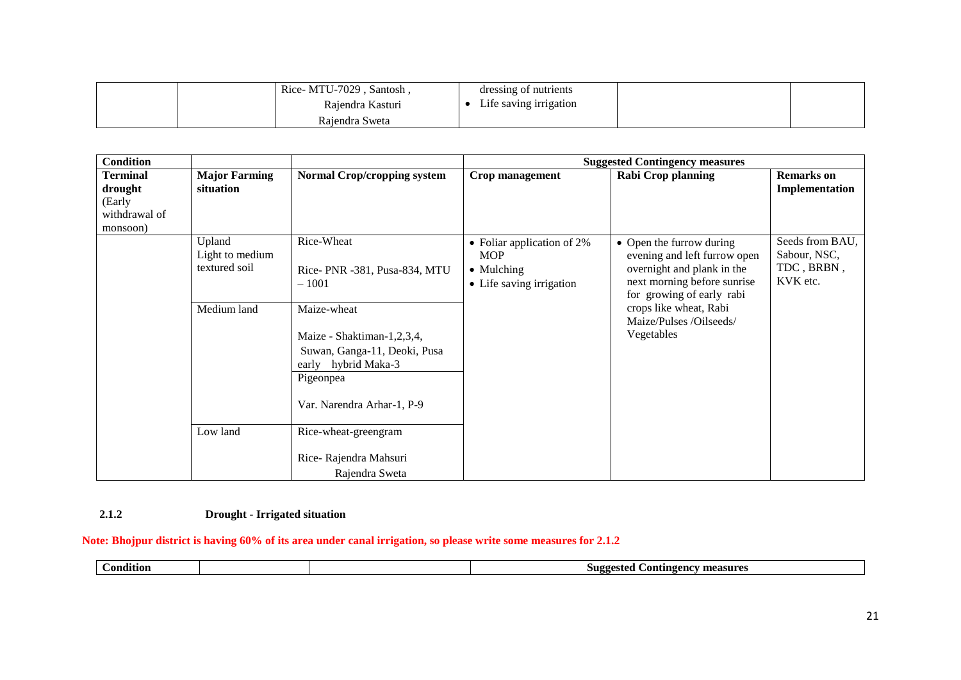| Rice-MTU-7029<br>Santosh. | dressing of nutrients  |  |
|---------------------------|------------------------|--|
| Rajendra Kasturi          | Life saving irrigation |  |
| Rajendra Sweta            |                        |  |

| <b>Condition</b>                    |                                            |                                                                                                                                             | <b>Suggested Contingency measures</b>                                                         |                                                                                                                                                    |                                                           |  |  |
|-------------------------------------|--------------------------------------------|---------------------------------------------------------------------------------------------------------------------------------------------|-----------------------------------------------------------------------------------------------|----------------------------------------------------------------------------------------------------------------------------------------------------|-----------------------------------------------------------|--|--|
| <b>Terminal</b><br>drought          | <b>Major Farming</b><br>situation          | <b>Normal Crop/cropping system</b>                                                                                                          | Crop management                                                                               | <b>Rabi Crop planning</b>                                                                                                                          | <b>Remarks</b> on<br>Implementation                       |  |  |
| (Early<br>withdrawal of<br>monsoon) |                                            |                                                                                                                                             |                                                                                               |                                                                                                                                                    |                                                           |  |  |
|                                     | Upland<br>Light to medium<br>textured soil | Rice-Wheat<br>Rice- PNR -381, Pusa-834, MTU<br>$-1001$                                                                                      | • Foliar application of $2\%$<br><b>MOP</b><br>$\bullet$ Mulching<br>• Life saving irrigation | • Open the furrow during<br>evening and left furrow open<br>overnight and plank in the<br>next morning before sunrise<br>for growing of early rabi | Seeds from BAU,<br>Sabour, NSC,<br>TDC, BRBN,<br>KVK etc. |  |  |
|                                     | Medium land                                | Maize-wheat<br>Maize - Shaktiman-1,2,3,4,<br>Suwan, Ganga-11, Deoki, Pusa<br>early hybrid Maka-3<br>Pigeonpea<br>Var. Narendra Arhar-1, P-9 |                                                                                               | crops like wheat, Rabi<br>Maize/Pulses /Oilseeds/<br>Vegetables                                                                                    |                                                           |  |  |
|                                     | Low land                                   | Rice-wheat-greengram<br>Rice-Rajendra Mahsuri<br>Rajendra Sweta                                                                             |                                                                                               |                                                                                                                                                    |                                                           |  |  |

### **2.1.2 Drought - Irrigated situation**

### **Note: Bhojpur district is having 60% of its area under canal irrigation, so please write some measures for 2.1.2**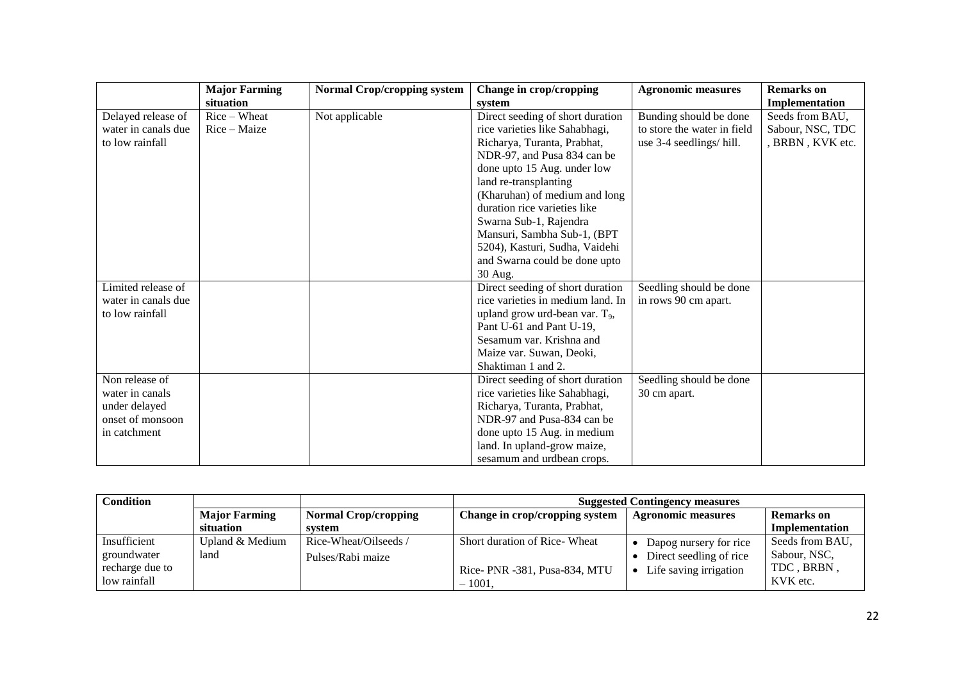|                     | <b>Major Farming</b> | <b>Normal Crop/cropping system</b> | Change in crop/cropping                    | <b>Agronomic measures</b>   | <b>Remarks</b> on |
|---------------------|----------------------|------------------------------------|--------------------------------------------|-----------------------------|-------------------|
|                     | situation            |                                    | system                                     |                             | Implementation    |
| Delayed release of  | $Rice-Wheat$         | Not applicable                     | Direct seeding of short duration           | Bunding should be done      | Seeds from BAU,   |
| water in canals due | Rice – Maize         |                                    | rice varieties like Sahabhagi,             | to store the water in field | Sabour, NSC, TDC  |
| to low rainfall     |                      |                                    | Richarya, Turanta, Prabhat,                | use 3-4 seedlings/hill.     | , BRBN, KVK etc.  |
|                     |                      |                                    | NDR-97, and Pusa 834 can be                |                             |                   |
|                     |                      |                                    | done upto 15 Aug. under low                |                             |                   |
|                     |                      |                                    | land re-transplanting                      |                             |                   |
|                     |                      |                                    | (Kharuhan) of medium and long              |                             |                   |
|                     |                      |                                    | duration rice varieties like               |                             |                   |
|                     |                      |                                    | Swarna Sub-1, Rajendra                     |                             |                   |
|                     |                      |                                    | Mansuri, Sambha Sub-1, (BPT                |                             |                   |
|                     |                      |                                    | 5204), Kasturi, Sudha, Vaidehi             |                             |                   |
|                     |                      |                                    | and Swarna could be done upto              |                             |                   |
|                     |                      |                                    | 30 Aug.                                    |                             |                   |
| Limited release of  |                      |                                    | Direct seeding of short duration           | Seedling should be done     |                   |
| water in canals due |                      |                                    | rice varieties in medium land. In          | in rows 90 cm apart.        |                   |
| to low rainfall     |                      |                                    | upland grow urd-bean var. T <sub>9</sub> , |                             |                   |
|                     |                      |                                    | Pant U-61 and Pant U-19,                   |                             |                   |
|                     |                      |                                    | Sesamum var. Krishna and                   |                             |                   |
|                     |                      |                                    | Maize var. Suwan, Deoki,                   |                             |                   |
|                     |                      |                                    | Shaktiman 1 and 2.                         |                             |                   |
| Non release of      |                      |                                    | Direct seeding of short duration           | Seedling should be done     |                   |
| water in canals     |                      |                                    | rice varieties like Sahabhagi,             | 30 cm apart.                |                   |
| under delayed       |                      |                                    | Richarya, Turanta, Prabhat,                |                             |                   |
| onset of monsoon    |                      |                                    | NDR-97 and Pusa-834 can be                 |                             |                   |
| in catchment        |                      |                                    | done upto 15 Aug. in medium                |                             |                   |
|                     |                      |                                    | land. In upland-grow maize,                |                             |                   |
|                     |                      |                                    | sesamum and urdbean crops.                 |                             |                   |

| <b>Condition</b> |                      |                             | <b>Suggested Contingency measures</b> |                           |                   |
|------------------|----------------------|-----------------------------|---------------------------------------|---------------------------|-------------------|
|                  | <b>Major Farming</b> | <b>Normal Crop/cropping</b> | Change in crop/cropping system        | <b>Agronomic measures</b> | <b>Remarks</b> on |
|                  | situation            | system                      |                                       |                           | Implementation    |
| Insufficient     | Upland & Medium      | Rice-Wheat/Oilseeds/        | Short duration of Rice-Wheat          | Dapog nursery for rice    | Seeds from BAU,   |
| groundwater      | land                 | Pulses/Rabi maize           |                                       | Direct seedling of rice   | Sabour, NSC,      |
| recharge due to  |                      |                             | Rice- PNR -381, Pusa-834, MTU         | Life saving irrigation    | TDC, BRBN.        |
| low rainfall     |                      |                             | $-1001$ .                             |                           | KVK etc.          |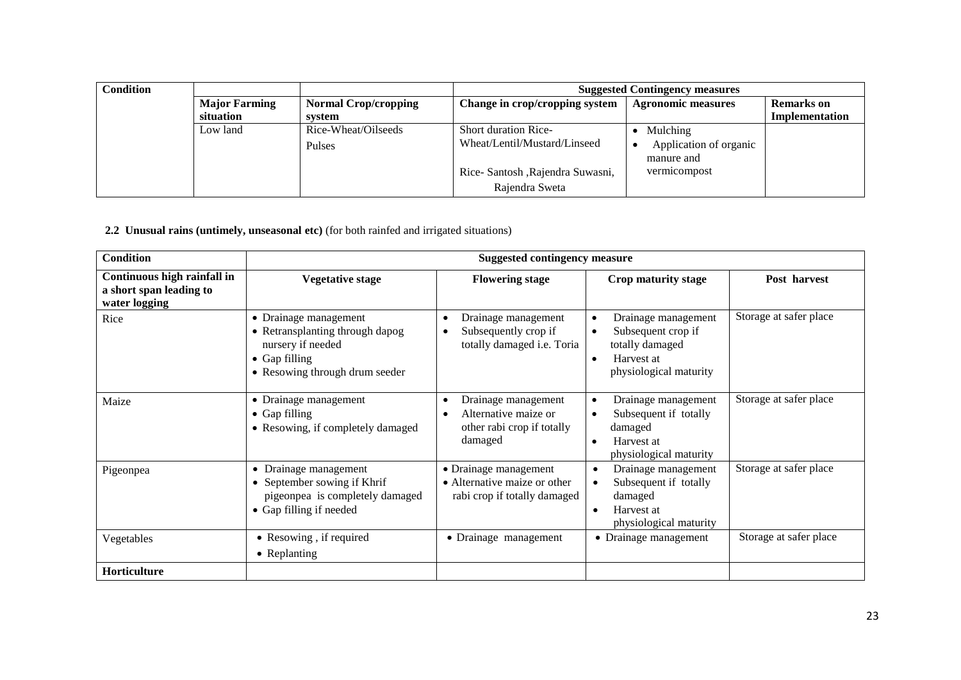| <b>Condition</b> |                      |                             | <b>Suggested Contingency measures</b> |                                           |                   |  |
|------------------|----------------------|-----------------------------|---------------------------------------|-------------------------------------------|-------------------|--|
|                  | <b>Major Farming</b> | <b>Normal Crop/cropping</b> | Change in crop/cropping system        | <b>Agronomic measures</b>                 | <b>Remarks</b> on |  |
|                  | situation            | system                      |                                       |                                           | Implementation    |  |
|                  | Low land             | Rice-Wheat/Oilseeds         | <b>Short duration Rice-</b>           | Mulching                                  |                   |  |
|                  |                      | Pulses                      | Wheat/Lentil/Mustard/Linseed          | Application of organic<br>٠<br>manure and |                   |  |
|                  |                      |                             | Rice- Santosh , Rajendra Suwasni,     | vermicompost                              |                   |  |
|                  |                      |                             | Rajendra Sweta                        |                                           |                   |  |

 **2.2 Unusual rains (untimely, unseasonal etc)** (for both rainfed and irrigated situations)

| <b>Condition</b>                                                        | <b>Suggested contingency measure</b>                                                                                                     |                                                                                       |                                                                                                                                        |                        |  |
|-------------------------------------------------------------------------|------------------------------------------------------------------------------------------------------------------------------------------|---------------------------------------------------------------------------------------|----------------------------------------------------------------------------------------------------------------------------------------|------------------------|--|
| Continuous high rainfall in<br>a short span leading to<br>water logging | <b>Vegetative stage</b>                                                                                                                  | <b>Flowering stage</b>                                                                | Crop maturity stage                                                                                                                    | Post harvest           |  |
| Rice                                                                    | • Drainage management<br>• Retransplanting through dapog<br>nursery if needed<br>$\bullet$ Gap filling<br>• Resowing through drum seeder | Drainage management<br>Subsequently crop if<br>totally damaged i.e. Toria             | Drainage management<br>$\bullet$<br>Subsequent crop if<br>$\bullet$<br>totally damaged<br>Harvest at<br>٠<br>physiological maturity    | Storage at safer place |  |
| Maize                                                                   | • Drainage management<br>• Gap filling<br>• Resowing, if completely damaged                                                              | Drainage management<br>Alternative maize or<br>other rabi crop if totally<br>damaged  | Drainage management<br>$\bullet$<br>Subsequent if totally<br>$\bullet$<br>damaged<br>Harvest at<br>$\bullet$<br>physiological maturity | Storage at safer place |  |
| Pigeonpea                                                               | • Drainage management<br>• September sowing if Khrif<br>pigeonpea is completely damaged<br>• Gap filling if needed                       | • Drainage management<br>• Alternative maize or other<br>rabi crop if totally damaged | Drainage management<br>$\bullet$<br>Subsequent if totally<br>$\bullet$<br>damaged<br>Harvest at<br>$\bullet$<br>physiological maturity | Storage at safer place |  |
| Vegetables                                                              | • Resowing, if required<br>• Replanting                                                                                                  | • Drainage management                                                                 | • Drainage management                                                                                                                  | Storage at safer place |  |
| Horticulture                                                            |                                                                                                                                          |                                                                                       |                                                                                                                                        |                        |  |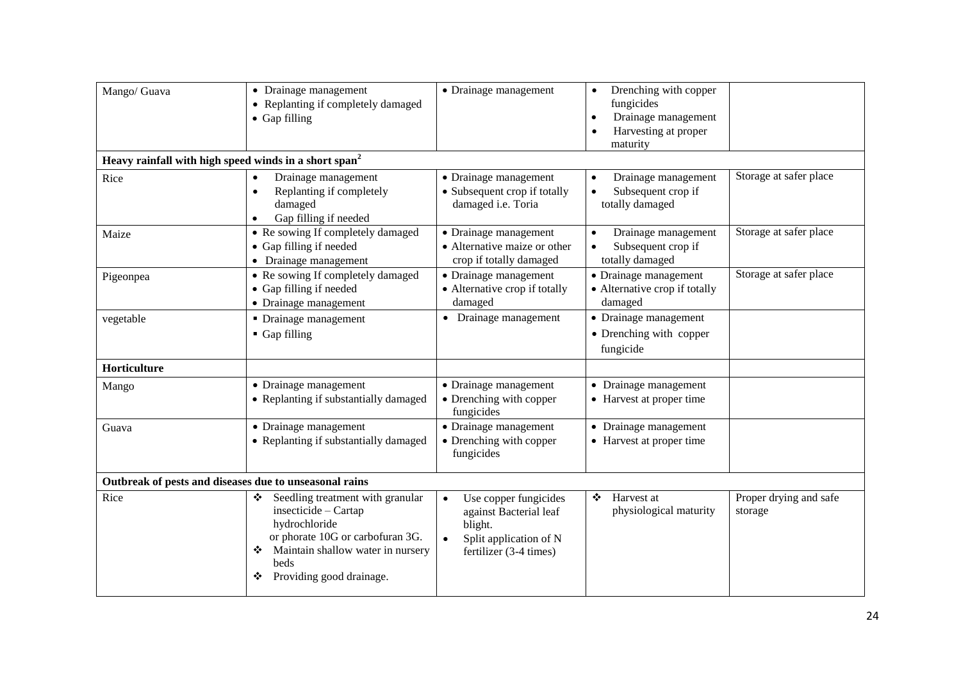| Mango/ Guava | • Drainage management<br>• Replanting if completely damaged<br>$\bullet$ Gap filling                                                                                                        | • Drainage management                                                                                                                    | Drenching with copper<br>$\bullet$<br>fungicides<br>Drainage management<br>$\bullet$<br>Harvesting at proper<br>maturity |                                   |
|--------------|---------------------------------------------------------------------------------------------------------------------------------------------------------------------------------------------|------------------------------------------------------------------------------------------------------------------------------------------|--------------------------------------------------------------------------------------------------------------------------|-----------------------------------|
|              | Heavy rainfall with high speed winds in a short span <sup>2</sup>                                                                                                                           |                                                                                                                                          |                                                                                                                          |                                   |
| Rice         | Drainage management<br>Replanting if completely<br>damaged<br>Gap filling if needed                                                                                                         | • Drainage management<br>• Subsequent crop if totally<br>damaged i.e. Toria                                                              | Drainage management<br>$\bullet$<br>Subsequent crop if<br>totally damaged                                                | Storage at safer place            |
| Maize        | • Re sowing If completely damaged<br>• Gap filling if needed<br>• Drainage management                                                                                                       | • Drainage management<br>• Alternative maize or other<br>crop if totally damaged                                                         | Drainage management<br>$\bullet$<br>Subsequent crop if<br>$\bullet$<br>totally damaged                                   | Storage at safer place            |
| Pigeonpea    | • Re sowing If completely damaged<br>• Gap filling if needed<br>• Drainage management                                                                                                       | • Drainage management<br>• Alternative crop if totally<br>damaged                                                                        | • Drainage management<br>• Alternative crop if totally<br>damaged                                                        | Storage at safer place            |
| vegetable    | • Drainage management<br>Gap filling                                                                                                                                                        | • Drainage management                                                                                                                    | • Drainage management<br>• Drenching with copper<br>fungicide                                                            |                                   |
| Horticulture |                                                                                                                                                                                             |                                                                                                                                          |                                                                                                                          |                                   |
| Mango        | • Drainage management<br>• Replanting if substantially damaged                                                                                                                              | • Drainage management<br>• Drenching with copper<br>fungicides                                                                           | • Drainage management<br>• Harvest at proper time                                                                        |                                   |
| Guava        | • Drainage management<br>• Replanting if substantially damaged                                                                                                                              | • Drainage management<br>• Drenching with copper<br>fungicides                                                                           | • Drainage management<br>• Harvest at proper time                                                                        |                                   |
|              | Outbreak of pests and diseases due to unseasonal rains                                                                                                                                      |                                                                                                                                          |                                                                                                                          |                                   |
| Rice         | Seedling treatment with granular<br>❖<br>insecticide - Cartap<br>hydrochloride<br>or phorate 10G or carbofuran 3G.<br>Maintain shallow water in nursery<br>beds<br>Providing good drainage. | Use copper fungicides<br>$\bullet$<br>against Bacterial leaf<br>blight.<br>Split application of N<br>$\bullet$<br>fertilizer (3-4 times) | Harvest at<br>❖<br>physiological maturity                                                                                | Proper drying and safe<br>storage |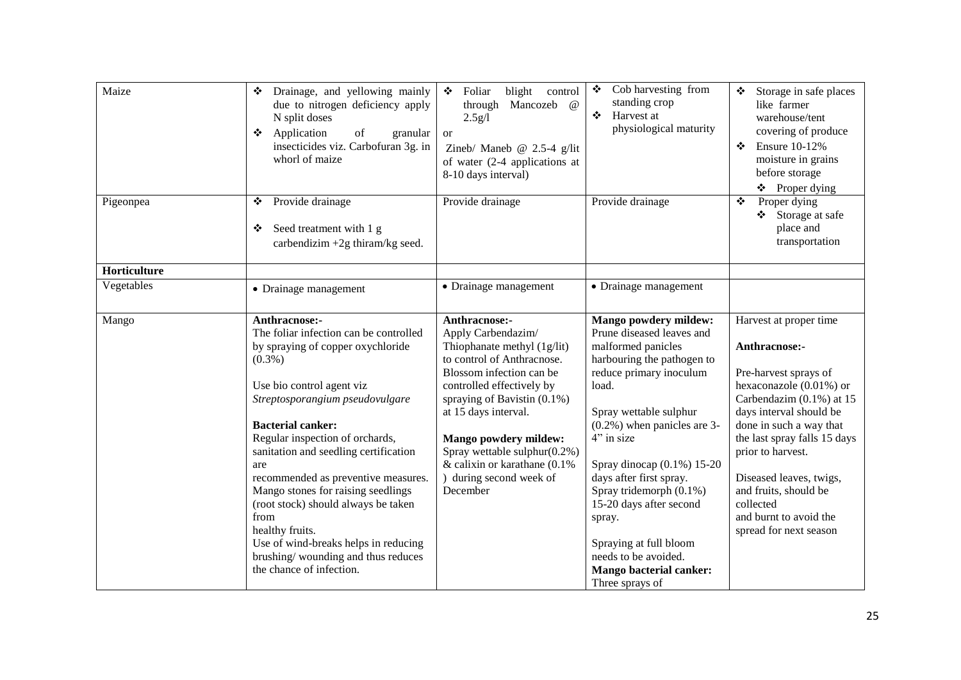| Maize        | Drainage, and yellowing mainly<br>❖<br>due to nitrogen deficiency apply<br>N split doses<br>❖ Application<br>of<br>granular<br>insecticides viz. Carbofuran 3g. in<br>whorl of maize                                                                                                                                                                                                                                                                                                                                                              | Foliar<br>blight control<br>❖<br>Mancozeb<br>$\omega$<br>through<br>2.5g/l<br><sub>or</sub><br>Zineb/ Maneb @ $2.5-4$ g/lit<br>of water (2-4 applications at<br>8-10 days interval)                                                                                                                                                                            | Cob harvesting from<br>❖<br>standing crop<br>Harvest at<br>$\bullet$<br>physiological maturity                                                                                                                                                                                                                                                                                                                                                                 | Storage in safe places<br>like farmer<br>warehouse/tent<br>covering of produce<br><b>Ensure 10-12%</b><br>❖<br>moisture in grains<br>before storage<br>❖ Proper dying                                                                                                                                                                                   |
|--------------|---------------------------------------------------------------------------------------------------------------------------------------------------------------------------------------------------------------------------------------------------------------------------------------------------------------------------------------------------------------------------------------------------------------------------------------------------------------------------------------------------------------------------------------------------|----------------------------------------------------------------------------------------------------------------------------------------------------------------------------------------------------------------------------------------------------------------------------------------------------------------------------------------------------------------|----------------------------------------------------------------------------------------------------------------------------------------------------------------------------------------------------------------------------------------------------------------------------------------------------------------------------------------------------------------------------------------------------------------------------------------------------------------|---------------------------------------------------------------------------------------------------------------------------------------------------------------------------------------------------------------------------------------------------------------------------------------------------------------------------------------------------------|
| Pigeonpea    | ❖ Provide drainage<br>Seed treatment with 1 g<br>❖<br>carbendizim +2g thiram/kg seed.                                                                                                                                                                                                                                                                                                                                                                                                                                                             | Provide drainage                                                                                                                                                                                                                                                                                                                                               | Provide drainage                                                                                                                                                                                                                                                                                                                                                                                                                                               | Proper dying<br>❖<br>Storage at safe<br>place and<br>transportation                                                                                                                                                                                                                                                                                     |
| Horticulture |                                                                                                                                                                                                                                                                                                                                                                                                                                                                                                                                                   |                                                                                                                                                                                                                                                                                                                                                                |                                                                                                                                                                                                                                                                                                                                                                                                                                                                |                                                                                                                                                                                                                                                                                                                                                         |
| Vegetables   | • Drainage management                                                                                                                                                                                                                                                                                                                                                                                                                                                                                                                             | • Drainage management                                                                                                                                                                                                                                                                                                                                          | • Drainage management                                                                                                                                                                                                                                                                                                                                                                                                                                          |                                                                                                                                                                                                                                                                                                                                                         |
| Mango        | Anthracnose:-<br>The foliar infection can be controlled<br>by spraying of copper oxychloride<br>$(0.3\%)$<br>Use bio control agent viz<br>Streptosporangium pseudovulgare<br><b>Bacterial canker:</b><br>Regular inspection of orchards,<br>sanitation and seedling certification<br>are<br>recommended as preventive measures.<br>Mango stones for raising seedlings<br>(root stock) should always be taken<br>from<br>healthy fruits.<br>Use of wind-breaks helps in reducing<br>brushing/wounding and thus reduces<br>the chance of infection. | Anthracnose:-<br>Apply Carbendazim/<br>Thiophanate methyl (1g/lit)<br>to control of Anthracnose.<br>Blossom infection can be<br>controlled effectively by<br>spraying of Bavistin $(0.1\%)$<br>at 15 days interval.<br><b>Mango powdery mildew:</b><br>Spray wettable sulphur $(0.2\%)$<br>& calixin or karathane (0.1%<br>) during second week of<br>December | <b>Mango powdery mildew:</b><br>Prune diseased leaves and<br>malformed panicles<br>harbouring the pathogen to<br>reduce primary inoculum<br>load.<br>Spray wettable sulphur<br>$(0.2\%)$ when panicles are 3-<br>4" in size<br>Spray dinocap $(0.1\%) 15-20$<br>days after first spray.<br>Spray tridemorph (0.1%)<br>15-20 days after second<br>spray.<br>Spraying at full bloom<br>needs to be avoided.<br><b>Mango bacterial canker:</b><br>Three sprays of | Harvest at proper time<br>Anthracnose:-<br>Pre-harvest sprays of<br>hexaconazole (0.01%) or<br>Carbendazim (0.1%) at 15<br>days interval should be<br>done in such a way that<br>the last spray falls 15 days<br>prior to harvest.<br>Diseased leaves, twigs,<br>and fruits, should be<br>collected<br>and burnt to avoid the<br>spread for next season |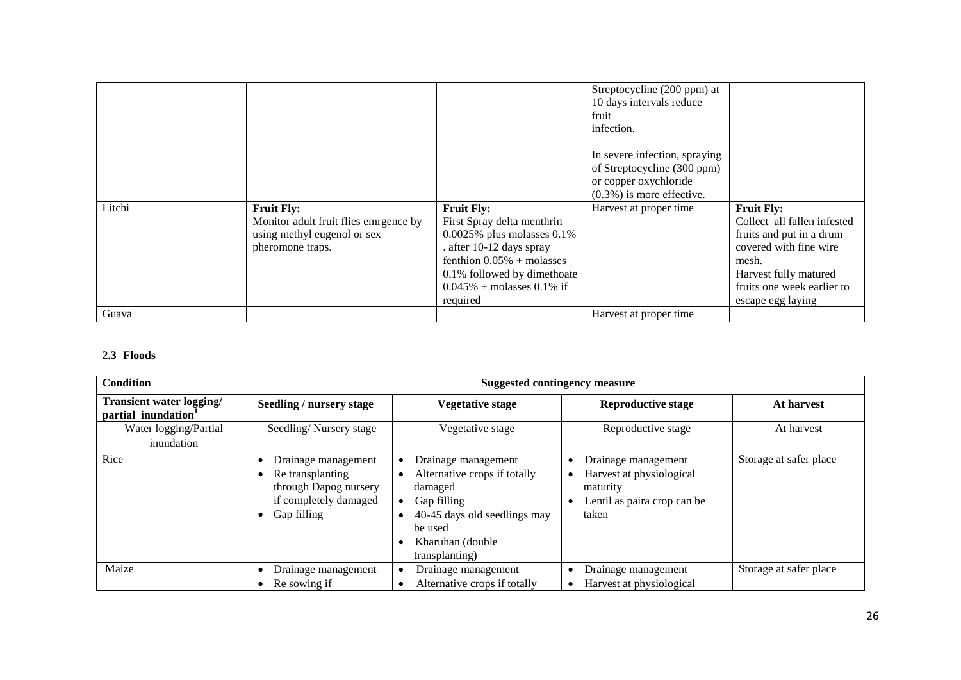|        |                                       |                                  | Streptocycline (200 ppm) at<br>10 days intervals reduce<br>fruit<br>infection.                                        |                             |
|--------|---------------------------------------|----------------------------------|-----------------------------------------------------------------------------------------------------------------------|-----------------------------|
|        |                                       |                                  | In severe infection, spraying<br>of Streptocycline (300 ppm)<br>or copper oxychloride<br>$(0.3\%)$ is more effective. |                             |
| Litchi | <b>Fruit Fly:</b>                     | <b>Fruit Fly:</b>                | Harvest at proper time                                                                                                | <b>Fruit Fly:</b>           |
|        | Monitor adult fruit flies emrgence by | First Spray delta menthrin       |                                                                                                                       | Collect all fallen infested |
|        | using methyl eugenol or sex           | $0.0025\%$ plus molasses $0.1\%$ |                                                                                                                       | fruits and put in a drum    |
|        | pheromone traps.                      | . after 10-12 days spray         |                                                                                                                       | covered with fine wire      |
|        |                                       | fenthion $0.05%$ + molasses      |                                                                                                                       | mesh.                       |
|        |                                       | 0.1% followed by dimethoate      |                                                                                                                       | Harvest fully matured       |
|        |                                       | $0.045\%$ + molasses 0.1% if     |                                                                                                                       | fruits one week earlier to  |
|        |                                       | required                         |                                                                                                                       | escape egg laying           |
| Guava  |                                       |                                  | Harvest at proper time                                                                                                |                             |

## **2.3 Floods**

| <b>Condition</b>                                            | <b>Suggested contingency measure</b>                                                                     |                                                                                                                                                                 |                                                                                                     |                        |  |
|-------------------------------------------------------------|----------------------------------------------------------------------------------------------------------|-----------------------------------------------------------------------------------------------------------------------------------------------------------------|-----------------------------------------------------------------------------------------------------|------------------------|--|
| Transient water logging/<br>partial inundation <sup>1</sup> | Seedling / nursery stage                                                                                 | <b>Vegetative stage</b>                                                                                                                                         | <b>Reproductive stage</b>                                                                           | At harvest             |  |
| Water logging/Partial<br>inundation                         | Seedling/Nursery stage                                                                                   | Vegetative stage                                                                                                                                                | Reproductive stage                                                                                  | At harvest             |  |
| Rice                                                        | Drainage management<br>Re transplanting<br>through Dapog nursery<br>if completely damaged<br>Gap filling | Drainage management<br>Alternative crops if totally<br>damaged<br>Gap filling<br>40-45 days old seedlings may<br>be used<br>Kharuhan (double)<br>transplanting) | Drainage management<br>Harvest at physiological<br>maturity<br>Lentil as paira crop can be<br>taken | Storage at safer place |  |
| Maize                                                       | Drainage management<br>Re sowing if                                                                      | Drainage management<br>Alternative crops if totally                                                                                                             | Drainage management<br>Harvest at physiological                                                     | Storage at safer place |  |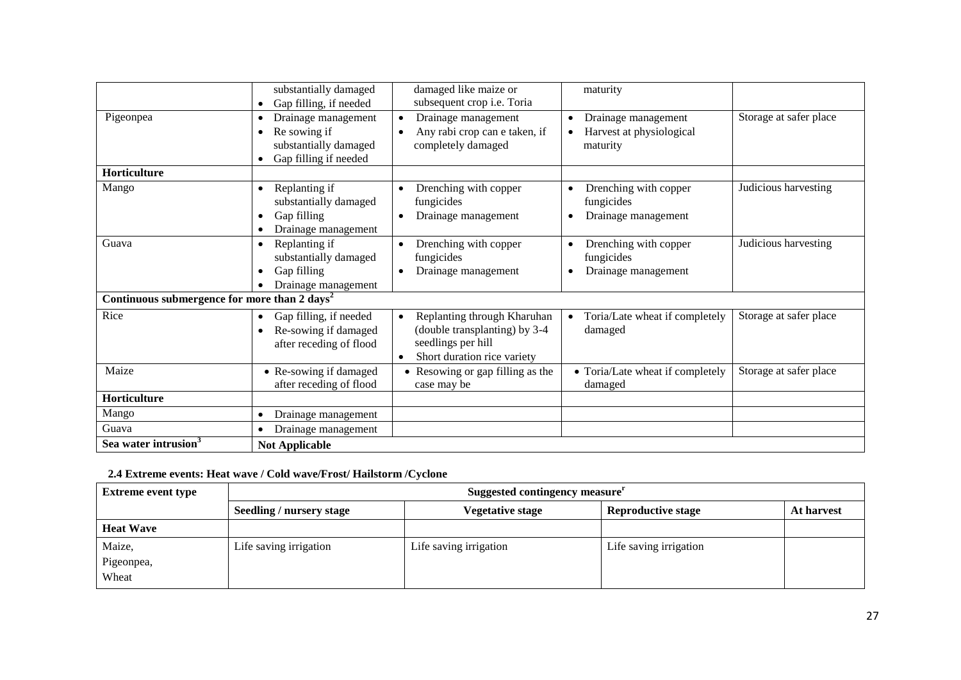|                                                          | substantially damaged<br>Gap filling, if needed                                           | damaged like maize or<br>subsequent crop i.e. Toria                                                                            | maturity                                                                 |                        |
|----------------------------------------------------------|-------------------------------------------------------------------------------------------|--------------------------------------------------------------------------------------------------------------------------------|--------------------------------------------------------------------------|------------------------|
| Pigeonpea                                                | Drainage management<br>Re sowing if<br>substantially damaged<br>Gap filling if needed     | Drainage management<br>Any rabi crop can e taken, if<br>$\bullet$<br>completely damaged                                        | Drainage management<br>Harvest at physiological<br>$\bullet$<br>maturity | Storage at safer place |
| <b>Horticulture</b>                                      |                                                                                           |                                                                                                                                |                                                                          |                        |
| Mango                                                    | Replanting if<br>$\bullet$<br>substantially damaged<br>Gap filling<br>Drainage management | Drenching with copper<br>$\bullet$<br>fungicides<br>Drainage management<br>$\bullet$                                           | Drenching with copper<br>fungicides<br>Drainage management               | Judicious harvesting   |
| Guava                                                    | Replanting if<br>substantially damaged<br>Gap filling<br>$\bullet$<br>Drainage management | Drenching with copper<br>fungicides<br>Drainage management                                                                     | Drenching with copper<br>fungicides<br>Drainage management               | Judicious harvesting   |
| Continuous submergence for more than 2 days <sup>2</sup> |                                                                                           |                                                                                                                                |                                                                          |                        |
| Rice                                                     | Gap filling, if needed<br>Re-sowing if damaged<br>after receding of flood                 | Replanting through Kharuhan<br>(double transplanting) by 3-4<br>seedlings per hill<br>Short duration rice variety<br>$\bullet$ | Toria/Late wheat if completely<br>$\bullet$<br>damaged                   | Storage at safer place |
| Maize                                                    | • Re-sowing if damaged<br>after receding of flood                                         | Resowing or gap filling as the<br>case may be                                                                                  | • Toria/Late wheat if completely<br>damaged                              | Storage at safer place |
| Horticulture                                             |                                                                                           |                                                                                                                                |                                                                          |                        |
| Mango                                                    | Drainage management                                                                       |                                                                                                                                |                                                                          |                        |
| Guava                                                    | Drainage management                                                                       |                                                                                                                                |                                                                          |                        |
| Sea water intrusion <sup>3</sup>                         | <b>Not Applicable</b>                                                                     |                                                                                                                                |                                                                          |                        |

## **2.4 Extreme events: Heat wave / Cold wave/Frost/ Hailstorm /Cyclone**

| <b>Extreme event type</b>     | Suggested contingency measure <sup>r</sup> |                         |                           |            |  |
|-------------------------------|--------------------------------------------|-------------------------|---------------------------|------------|--|
|                               | <b>Seedling / nursery stage</b>            | <b>Vegetative stage</b> | <b>Reproductive stage</b> | At harvest |  |
| <b>Heat Wave</b>              |                                            |                         |                           |            |  |
| Maize,<br>Pigeonpea,<br>Wheat | Life saving irrigation                     | Life saving irrigation  | Life saving irrigation    |            |  |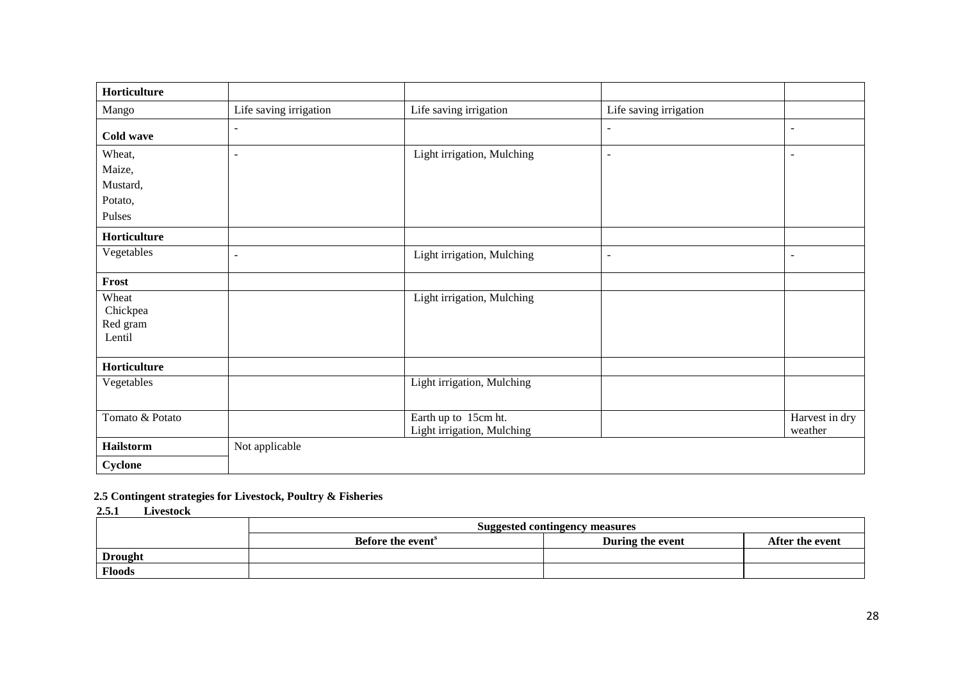| Horticulture    |                          |                            |                          |                          |
|-----------------|--------------------------|----------------------------|--------------------------|--------------------------|
| Mango           | Life saving irrigation   | Life saving irrigation     | Life saving irrigation   |                          |
| Cold wave       | $\overline{\phantom{a}}$ |                            | $\overline{\phantom{a}}$ | $\overline{\phantom{a}}$ |
| Wheat,          | $\overline{\phantom{a}}$ | Light irrigation, Mulching | $\overline{\phantom{a}}$ | $\overline{\phantom{a}}$ |
| Maize,          |                          |                            |                          |                          |
| Mustard,        |                          |                            |                          |                          |
| Potato,         |                          |                            |                          |                          |
| Pulses          |                          |                            |                          |                          |
| Horticulture    |                          |                            |                          |                          |
| Vegetables      | $\blacksquare$           | Light irrigation, Mulching | $\overline{\phantom{a}}$ | $\blacksquare$           |
| Frost           |                          |                            |                          |                          |
| Wheat           |                          | Light irrigation, Mulching |                          |                          |
| Chickpea        |                          |                            |                          |                          |
| Red gram        |                          |                            |                          |                          |
| Lentil          |                          |                            |                          |                          |
| Horticulture    |                          |                            |                          |                          |
| Vegetables      |                          | Light irrigation, Mulching |                          |                          |
| Tomato & Potato |                          | Earth up to 15cm ht.       |                          | Harvest in dry           |
|                 |                          | Light irrigation, Mulching |                          | weather                  |
| Hailstorm       | Not applicable           |                            |                          |                          |
| Cyclone         |                          |                            |                          |                          |

## **2.5 Contingent strategies for Livestock, Poultry & Fisheries**

 **2.5.1 Livestock**

|                | Suggested contingency measures                                       |  |  |  |  |  |
|----------------|----------------------------------------------------------------------|--|--|--|--|--|
|                | During the event<br>Before the event <sup>8</sup><br>After the event |  |  |  |  |  |
| <b>Drought</b> |                                                                      |  |  |  |  |  |
| <b>Floods</b>  |                                                                      |  |  |  |  |  |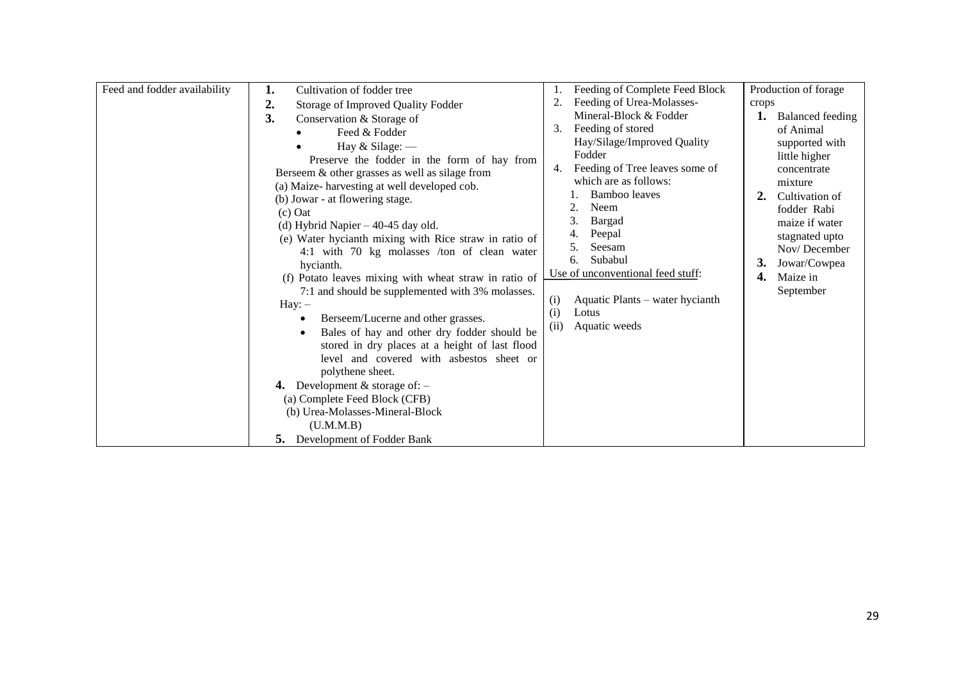| Feed and fodder availability | Cultivation of fodder tree<br>1.<br>2.<br>Storage of Improved Quality Fodder                                                                                                                                                                                                                                                                                                                                                                                                                                                                                                                                                                                                                                                                                                                                                                                                                                                       | Feeding of Complete Feed Block<br>Feeding of Urea-Molasses-<br>Mineral-Block & Fodder                                                                                                                                                                                                                                                   | Production of forage<br>crops<br>1. Balanced feeding                                                                                                                                                                   |
|------------------------------|------------------------------------------------------------------------------------------------------------------------------------------------------------------------------------------------------------------------------------------------------------------------------------------------------------------------------------------------------------------------------------------------------------------------------------------------------------------------------------------------------------------------------------------------------------------------------------------------------------------------------------------------------------------------------------------------------------------------------------------------------------------------------------------------------------------------------------------------------------------------------------------------------------------------------------|-----------------------------------------------------------------------------------------------------------------------------------------------------------------------------------------------------------------------------------------------------------------------------------------------------------------------------------------|------------------------------------------------------------------------------------------------------------------------------------------------------------------------------------------------------------------------|
|                              | 3.<br>Conservation & Storage of<br>Feed & Fodder<br>Hay $&$ Silage: $-$<br>Preserve the fodder in the form of hay from<br>Berseem & other grasses as well as silage from<br>(a) Maize-harvesting at well developed cob.<br>(b) Jowar - at flowering stage.<br>$(c)$ Oat<br>(d) Hybrid Napier $-40-45$ day old.<br>(e) Water hycianth mixing with Rice straw in ratio of<br>4:1 with 70 kg molasses /ton of clean water<br>hycianth.<br>(f) Potato leaves mixing with wheat straw in ratio of<br>7:1 and should be supplemented with 3% molasses.<br>$Hay: -$<br>Berseem/Lucerne and other grasses.<br>Bales of hay and other dry fodder should be<br>stored in dry places at a height of last flood<br>level and covered with asbestos sheet or<br>polythene sheet.<br>4. Development $&$ storage of: $-$<br>(a) Complete Feed Block (CFB)<br>(b) Urea-Molasses-Mineral-Block<br>(U.M.M.B)<br><b>5.</b> Development of Fodder Bank | Feeding of stored<br>Hay/Silage/Improved Quality<br>Fodder<br>Feeding of Tree leaves some of<br>4.<br>which are as follows:<br>Bamboo leaves<br>Neem<br>2.<br>Bargad<br>Peepal<br>Seesam<br>5.<br>Subabul<br>6.<br>Use of unconventional feed stuff:<br>(i)<br>Aquatic Plants – water hycianth<br>(i)<br>Lotus<br>(ii)<br>Aquatic weeds | of Animal<br>supported with<br>little higher<br>concentrate<br>mixture<br>2.<br>Cultivation of<br>fodder Rabi<br>maize if water<br>stagnated upto<br>Nov/December<br>3.<br>Jowar/Cowpea<br>Maize in<br>4.<br>September |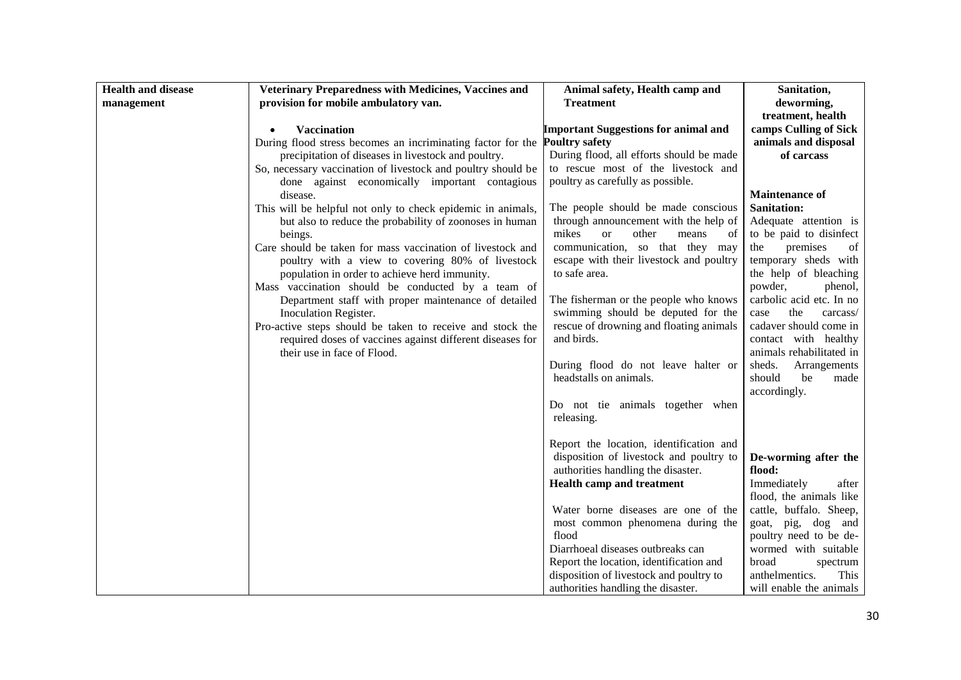| <b>Health and disease</b> | Veterinary Preparedness with Medicines, Vaccines and         | Animal safety, Health camp and                 | Sanitation,                                        |
|---------------------------|--------------------------------------------------------------|------------------------------------------------|----------------------------------------------------|
| management                | provision for mobile ambulatory van.                         | <b>Treatment</b>                               | deworming,                                         |
|                           |                                                              |                                                | treatment, health                                  |
|                           | <b>Vaccination</b>                                           | <b>Important Suggestions for animal and</b>    | camps Culling of Sick                              |
|                           | During flood stress becomes an incriminating factor for the  | <b>Poultry safety</b>                          | animals and disposal                               |
|                           | precipitation of diseases in livestock and poultry.          | During flood, all efforts should be made       | of carcass                                         |
|                           | So, necessary vaccination of livestock and poultry should be | to rescue most of the livestock and            |                                                    |
|                           | done against economically important contagious               | poultry as carefully as possible.              |                                                    |
|                           | disease.                                                     |                                                | <b>Maintenance of</b>                              |
|                           | This will be helpful not only to check epidemic in animals,  | The people should be made conscious            | <b>Sanitation:</b>                                 |
|                           | but also to reduce the probability of zoonoses in human      | through announcement with the help of          | Adequate attention is                              |
|                           | beings.                                                      | mikes<br>other<br><sub>or</sub><br>means<br>of | to be paid to disinfect                            |
|                           | Care should be taken for mass vaccination of livestock and   | communication, so that they may                | premises<br>the<br>of                              |
|                           | poultry with a view to covering 80% of livestock             | escape with their livestock and poultry        | temporary sheds with                               |
|                           | population in order to achieve herd immunity.                | to safe area.                                  | the help of bleaching                              |
|                           | Mass vaccination should be conducted by a team of            |                                                | powder,<br>phenol,                                 |
|                           | Department staff with proper maintenance of detailed         | The fisherman or the people who knows          | carbolic acid etc. In no                           |
|                           | Inoculation Register.                                        | swimming should be deputed for the             | the<br>case<br>carcass/                            |
|                           | Pro-active steps should be taken to receive and stock the    | rescue of drowning and floating animals        | cadaver should come in                             |
|                           | required doses of vaccines against different diseases for    | and birds.                                     | contact with healthy                               |
|                           | their use in face of Flood.                                  | During flood do not leave halter or            | animals rehabilitated in<br>sheds.<br>Arrangements |
|                           |                                                              | headstalls on animals.                         | should<br>be<br>made                               |
|                           |                                                              |                                                | accordingly.                                       |
|                           |                                                              | Do not tie animals together when               |                                                    |
|                           |                                                              | releasing.                                     |                                                    |
|                           |                                                              |                                                |                                                    |
|                           |                                                              | Report the location, identification and        |                                                    |
|                           |                                                              | disposition of livestock and poultry to        | De-worming after the                               |
|                           |                                                              | authorities handling the disaster.             | flood:                                             |
|                           |                                                              | Health camp and treatment                      | Immediately<br>after                               |
|                           |                                                              |                                                | flood, the animals like                            |
|                           |                                                              | Water borne diseases are one of the            | cattle, buffalo. Sheep,                            |
|                           |                                                              | most common phenomena during the               | goat, pig, dog and                                 |
|                           |                                                              | flood                                          | poultry need to be de-                             |
|                           |                                                              | Diarrhoeal diseases outbreaks can              | wormed with suitable                               |
|                           |                                                              | Report the location, identification and        | broad<br>spectrum                                  |
|                           |                                                              | disposition of livestock and poultry to        | anthelmentics.<br>This                             |
|                           |                                                              | authorities handling the disaster.             | will enable the animals                            |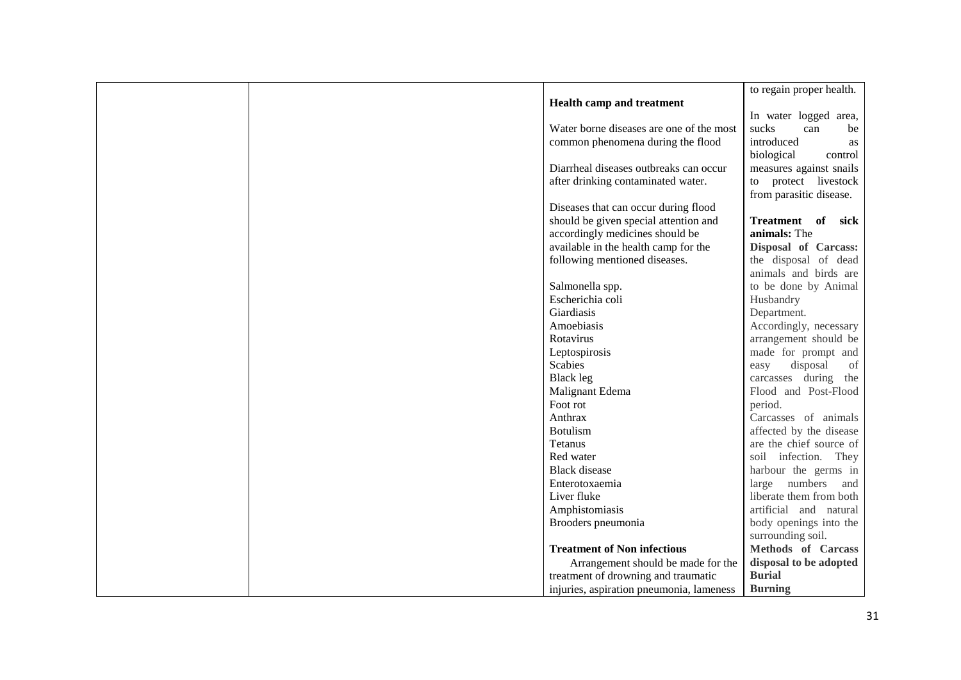|                                          | to regain proper health.  |
|------------------------------------------|---------------------------|
| Health camp and treatment                |                           |
|                                          | In water logged area,     |
| Water borne diseases are one of the most | sucks<br>can<br>be        |
| common phenomena during the flood        | introduced<br>as          |
|                                          | biological<br>control     |
| Diarrheal diseases outbreaks can occur   | measures against snails   |
| after drinking contaminated water.       | to protect livestock      |
|                                          | from parasitic disease.   |
| Diseases that can occur during flood     |                           |
| should be given special attention and    | Treatment of<br>sick      |
| accordingly medicines should be          | animals: The              |
| available in the health camp for the     | Disposal of Carcass:      |
| following mentioned diseases.            | the disposal of dead      |
|                                          | animals and birds are     |
| Salmonella spp.                          | to be done by Animal      |
| Escherichia coli                         | Husbandry                 |
| Giardiasis                               | Department.               |
| Amoebiasis                               | Accordingly, necessary    |
| Rotavirus                                | arrangement should be     |
| Leptospirosis                            | made for prompt and       |
| <b>Scabies</b>                           | disposal<br>easy<br>of    |
| <b>Black leg</b>                         | carcasses during<br>the   |
| Malignant Edema                          | Flood and Post-Flood      |
| Foot rot                                 | period.                   |
| Anthrax                                  | Carcasses of animals      |
| <b>Botulism</b>                          | affected by the disease   |
| Tetanus                                  | are the chief source of   |
| Red water                                | soil infection. They      |
| <b>Black</b> disease                     | harbour the germs in      |
| Enterotoxaemia                           | large numbers<br>and      |
| Liver fluke                              | liberate them from both   |
| Amphistomiasis                           | artificial and natural    |
| Brooders pneumonia                       | body openings into the    |
|                                          | surrounding soil.         |
| <b>Treatment of Non infectious</b>       | <b>Methods</b> of Carcass |
| Arrangement should be made for the       | disposal to be adopted    |
| treatment of drowning and traumatic      | <b>Burial</b>             |
| injuries, aspiration pneumonia, lameness | <b>Burning</b>            |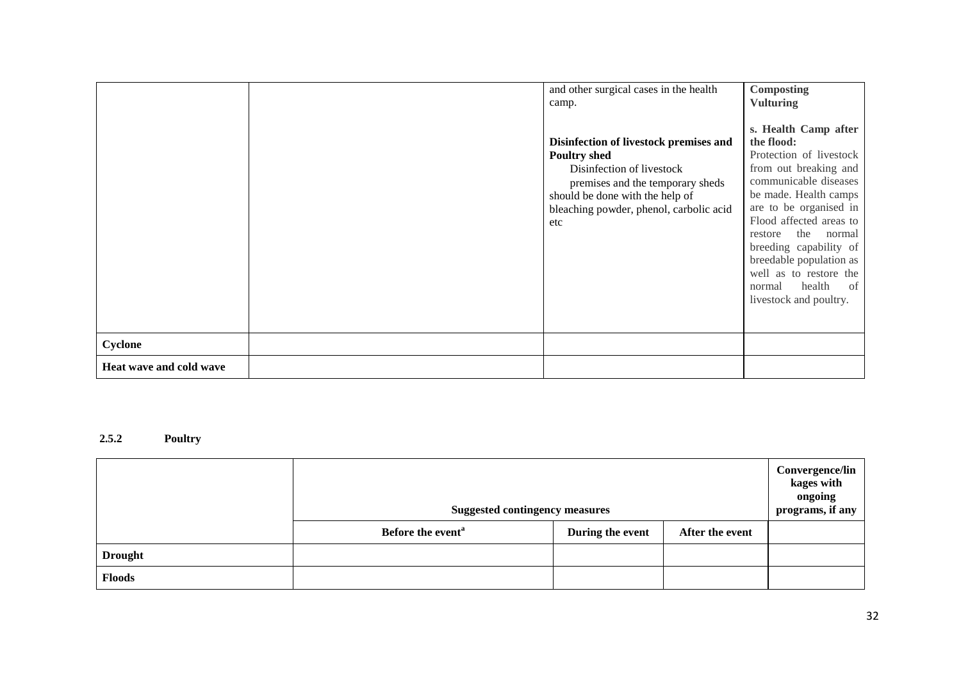|                         | and other surgical cases in the health<br>camp.<br>Disinfection of livestock premises and<br><b>Poultry shed</b><br>Disinfection of livestock<br>premises and the temporary sheds<br>should be done with the help of<br>bleaching powder, phenol, carbolic acid<br>etc | Composting<br><b>Vulturing</b><br>s. Health Camp after<br>the flood:<br>Protection of livestock<br>from out breaking and<br>communicable diseases<br>be made. Health camps<br>are to be organised in<br>Flood affected areas to<br>the<br>normal<br>restore<br>breeding capability of<br>breedable population as<br>well as to restore the<br>health<br>normal<br>of |
|-------------------------|------------------------------------------------------------------------------------------------------------------------------------------------------------------------------------------------------------------------------------------------------------------------|----------------------------------------------------------------------------------------------------------------------------------------------------------------------------------------------------------------------------------------------------------------------------------------------------------------------------------------------------------------------|
| Cyclone                 |                                                                                                                                                                                                                                                                        | livestock and poultry.                                                                                                                                                                                                                                                                                                                                               |
| Heat wave and cold wave |                                                                                                                                                                                                                                                                        |                                                                                                                                                                                                                                                                                                                                                                      |

### **2.5.2 Poultry**

|                | <b>Suggested contingency measures</b> |                  |                 | Convergence/lin<br>kages with<br>ongoing<br>programs, if any |
|----------------|---------------------------------------|------------------|-----------------|--------------------------------------------------------------|
|                | Before the event <sup>a</sup>         | During the event | After the event |                                                              |
| <b>Drought</b> |                                       |                  |                 |                                                              |
| <b>Floods</b>  |                                       |                  |                 |                                                              |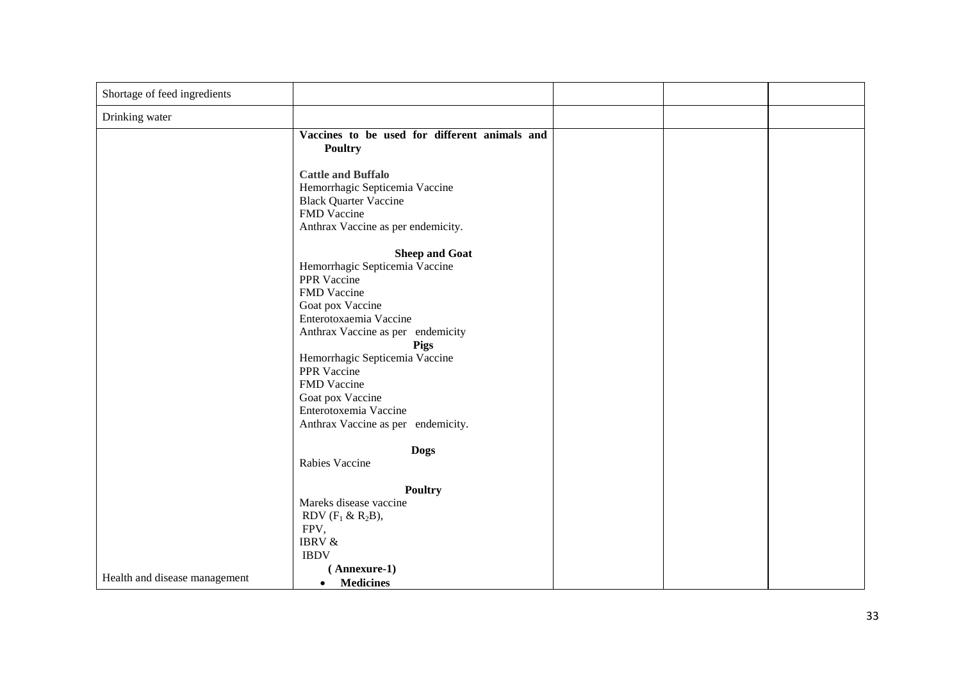| Shortage of feed ingredients  |                                                                                                                                                                                                                                                                                                                                     |  |  |
|-------------------------------|-------------------------------------------------------------------------------------------------------------------------------------------------------------------------------------------------------------------------------------------------------------------------------------------------------------------------------------|--|--|
| Drinking water                |                                                                                                                                                                                                                                                                                                                                     |  |  |
|                               | Vaccines to be used for different animals and<br><b>Poultry</b>                                                                                                                                                                                                                                                                     |  |  |
|                               | <b>Cattle and Buffalo</b><br>Hemorrhagic Septicemia Vaccine<br><b>Black Quarter Vaccine</b><br>FMD Vaccine<br>Anthrax Vaccine as per endemicity.                                                                                                                                                                                    |  |  |
|                               | <b>Sheep and Goat</b><br>Hemorrhagic Septicemia Vaccine<br>PPR Vaccine<br>FMD Vaccine<br>Goat pox Vaccine<br>Enterotoxaemia Vaccine<br>Anthrax Vaccine as per endemicity<br>Pigs<br>Hemorrhagic Septicemia Vaccine<br>PPR Vaccine<br>FMD Vaccine<br>Goat pox Vaccine<br>Enterotoxemia Vaccine<br>Anthrax Vaccine as per endemicity. |  |  |
|                               | <b>Dogs</b><br>Rabies Vaccine                                                                                                                                                                                                                                                                                                       |  |  |
|                               | <b>Poultry</b><br>Mareks disease vaccine<br>RDV $(F_1 & R_2B)$ ,<br>FPV,<br><b>IBRV &amp;</b><br><b>IBDV</b><br>(Annexure-1)                                                                                                                                                                                                        |  |  |
| Health and disease management | <b>Medicines</b><br>$\bullet$                                                                                                                                                                                                                                                                                                       |  |  |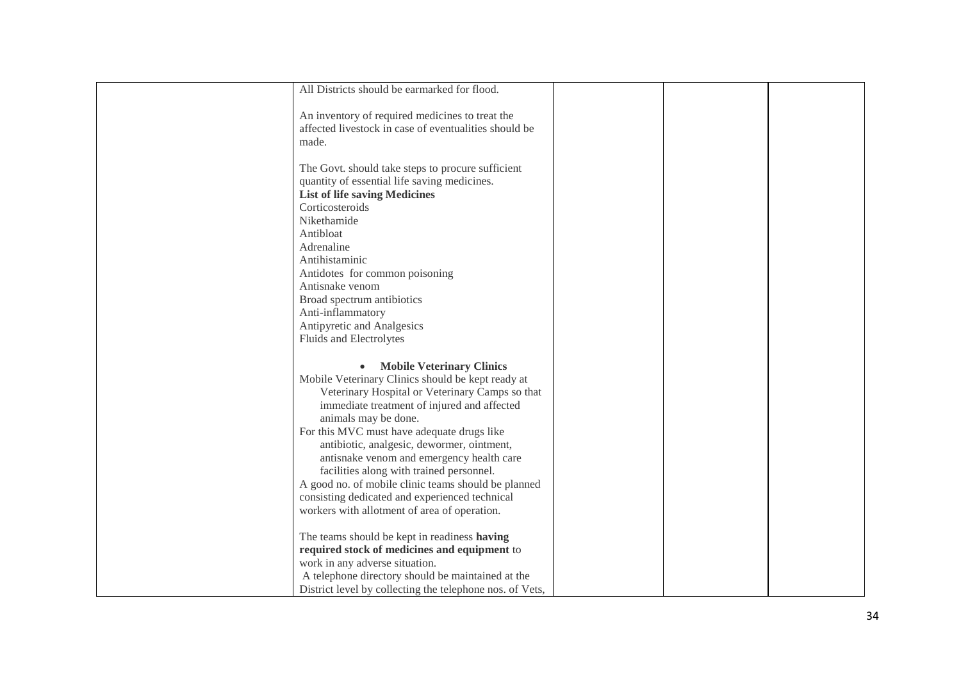| All Districts should be earmarked for flood.                                            |  |  |
|-----------------------------------------------------------------------------------------|--|--|
|                                                                                         |  |  |
| An inventory of required medicines to treat the                                         |  |  |
| affected livestock in case of eventualities should be                                   |  |  |
| made.                                                                                   |  |  |
| The Govt. should take steps to procure sufficient                                       |  |  |
| quantity of essential life saving medicines.                                            |  |  |
| <b>List of life saving Medicines</b>                                                    |  |  |
| Corticosteroids                                                                         |  |  |
| Nikethamide                                                                             |  |  |
| Antibloat                                                                               |  |  |
| Adrenaline                                                                              |  |  |
| Antihistaminic                                                                          |  |  |
| Antidotes for common poisoning                                                          |  |  |
| Antisnake venom                                                                         |  |  |
| Broad spectrum antibiotics                                                              |  |  |
| Anti-inflammatory                                                                       |  |  |
| Antipyretic and Analgesics                                                              |  |  |
| Fluids and Electrolytes                                                                 |  |  |
|                                                                                         |  |  |
| <b>Mobile Veterinary Clinics</b>                                                        |  |  |
| Mobile Veterinary Clinics should be kept ready at                                       |  |  |
| Veterinary Hospital or Veterinary Camps so that                                         |  |  |
| immediate treatment of injured and affected                                             |  |  |
| animals may be done.                                                                    |  |  |
| For this MVC must have adequate drugs like                                              |  |  |
| antibiotic, analgesic, dewormer, ointment,<br>antisnake venom and emergency health care |  |  |
| facilities along with trained personnel.                                                |  |  |
| A good no. of mobile clinic teams should be planned                                     |  |  |
| consisting dedicated and experienced technical                                          |  |  |
| workers with allotment of area of operation.                                            |  |  |
|                                                                                         |  |  |
| The teams should be kept in readiness having                                            |  |  |
| required stock of medicines and equipment to                                            |  |  |
| work in any adverse situation.                                                          |  |  |
| A telephone directory should be maintained at the                                       |  |  |
| District level by collecting the telephone nos. of Vets,                                |  |  |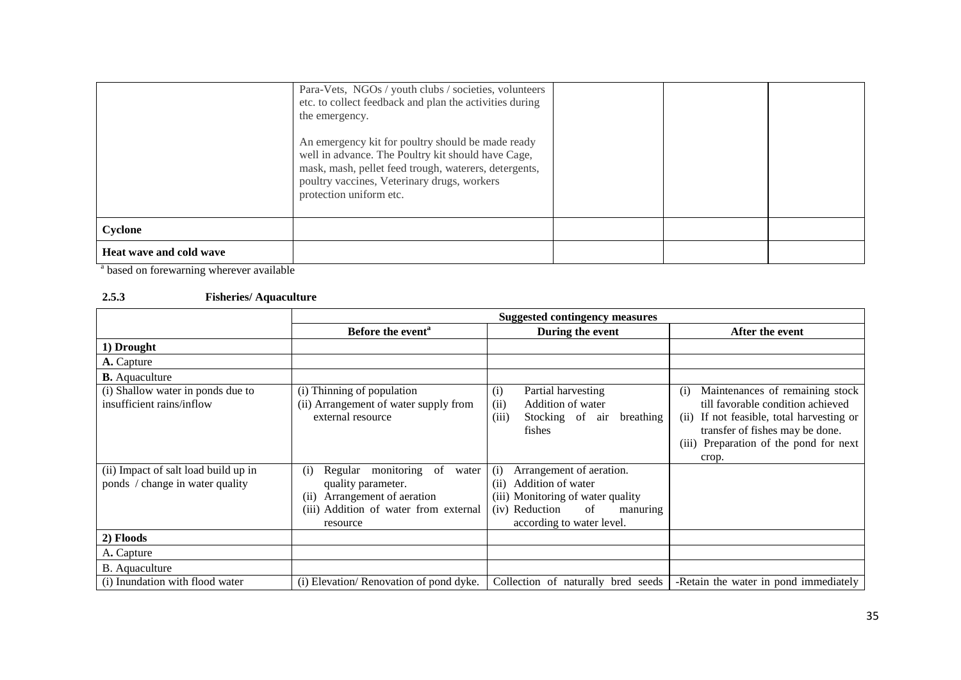|                         | Para-Vets, NGOs / youth clubs / societies, volunteers<br>etc. to collect feedback and plan the activities during<br>the emergency.                                                                                                         |  |  |
|-------------------------|--------------------------------------------------------------------------------------------------------------------------------------------------------------------------------------------------------------------------------------------|--|--|
|                         | An emergency kit for poultry should be made ready<br>well in advance. The Poultry kit should have Cage,<br>mask, mash, pellet feed trough, waterers, detergents,<br>poultry vaccines, Veterinary drugs, workers<br>protection uniform etc. |  |  |
| Cyclone                 |                                                                                                                                                                                                                                            |  |  |
| Heat wave and cold wave |                                                                                                                                                                                                                                            |  |  |

<sup>a</sup> based on forewarning wherever available

## **2.5.3 Fisheries/ Aquaculture**

|                                                                         | <b>Suggested contingency measures</b>                                                                                                                 |                                                                                                                                                                    |                                                                                                                                                                                                                |
|-------------------------------------------------------------------------|-------------------------------------------------------------------------------------------------------------------------------------------------------|--------------------------------------------------------------------------------------------------------------------------------------------------------------------|----------------------------------------------------------------------------------------------------------------------------------------------------------------------------------------------------------------|
|                                                                         | Before the event <sup>a</sup>                                                                                                                         | During the event                                                                                                                                                   | After the event                                                                                                                                                                                                |
| 1) Drought                                                              |                                                                                                                                                       |                                                                                                                                                                    |                                                                                                                                                                                                                |
| <b>A.</b> Capture                                                       |                                                                                                                                                       |                                                                                                                                                                    |                                                                                                                                                                                                                |
| <b>B.</b> Aquaculture                                                   |                                                                                                                                                       |                                                                                                                                                                    |                                                                                                                                                                                                                |
| (i) Shallow water in ponds due to<br>insufficient rains/inflow          | (i) Thinning of population<br>(ii) Arrangement of water supply from<br>external resource                                                              | Partial harvesting<br>(1)<br>Addition of water<br>(i)<br>Stocking of air<br>breathing<br>(iii)<br>fishes                                                           | Maintenances of remaining stock<br>(i)<br>till favorable condition achieved<br>(ii) If not feasible, total harvesting or<br>transfer of fishes may be done.<br>(iii) Preparation of the pond for next<br>crop. |
| (ii) Impact of salt load build up in<br>ponds / change in water quality | Regular monitoring<br>of<br>water<br>(i)<br>quality parameter.<br>Arrangement of aeration<br>(i)<br>(iii) Addition of water from external<br>resource | Arrangement of aeration.<br>(i)<br>Addition of water<br>(ii)<br>(iii) Monitoring of water quality<br>(iv) Reduction<br>of<br>manuring<br>according to water level. |                                                                                                                                                                                                                |
| 2) Floods                                                               |                                                                                                                                                       |                                                                                                                                                                    |                                                                                                                                                                                                                |
| A. Capture                                                              |                                                                                                                                                       |                                                                                                                                                                    |                                                                                                                                                                                                                |
| B. Aquaculture                                                          |                                                                                                                                                       |                                                                                                                                                                    |                                                                                                                                                                                                                |
| (i) Inundation with flood water                                         | (i) Elevation/Renovation of pond dyke.                                                                                                                | Collection of naturally bred seeds                                                                                                                                 | -Retain the water in pond immediately                                                                                                                                                                          |